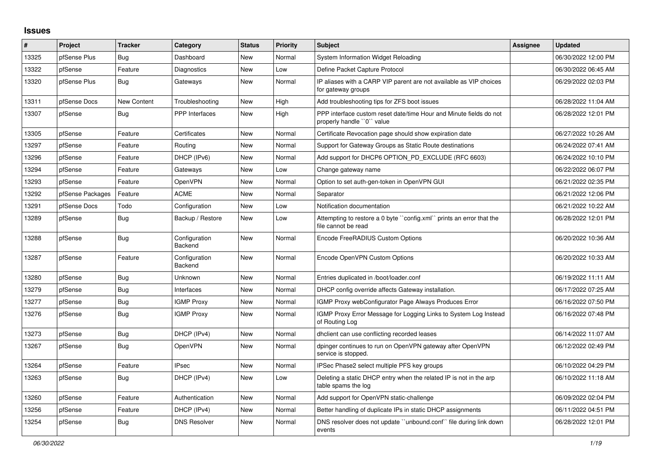## **Issues**

| #     | Project          | <b>Tracker</b> | Category                 | <b>Status</b> | <b>Priority</b> | <b>Subject</b>                                                                                  | Assignee | <b>Updated</b>      |
|-------|------------------|----------------|--------------------------|---------------|-----------------|-------------------------------------------------------------------------------------------------|----------|---------------------|
| 13325 | pfSense Plus     | Bug            | Dashboard                | <b>New</b>    | Normal          | System Information Widget Reloading                                                             |          | 06/30/2022 12:00 PM |
| 13322 | pfSense          | Feature        | Diagnostics              | <b>New</b>    | Low             | Define Packet Capture Protocol                                                                  |          | 06/30/2022 06:45 AM |
| 13320 | pfSense Plus     | Bug            | Gateways                 | <b>New</b>    | Normal          | IP aliases with a CARP VIP parent are not available as VIP choices<br>for gateway groups        |          | 06/29/2022 02:03 PM |
| 13311 | pfSense Docs     | New Content    | Troubleshooting          | <b>New</b>    | High            | Add troubleshooting tips for ZFS boot issues                                                    |          | 06/28/2022 11:04 AM |
| 13307 | pfSense          | Bug            | <b>PPP</b> Interfaces    | <b>New</b>    | High            | PPP interface custom reset date/time Hour and Minute fields do not<br>properly handle "0" value |          | 06/28/2022 12:01 PM |
| 13305 | pfSense          | Feature        | Certificates             | <b>New</b>    | Normal          | Certificate Revocation page should show expiration date                                         |          | 06/27/2022 10:26 AM |
| 13297 | pfSense          | Feature        | Routing                  | <b>New</b>    | Normal          | Support for Gateway Groups as Static Route destinations                                         |          | 06/24/2022 07:41 AM |
| 13296 | pfSense          | Feature        | DHCP (IPv6)              | <b>New</b>    | Normal          | Add support for DHCP6 OPTION_PD_EXCLUDE (RFC 6603)                                              |          | 06/24/2022 10:10 PM |
| 13294 | pfSense          | Feature        | Gateways                 | <b>New</b>    | Low             | Change gateway name                                                                             |          | 06/22/2022 06:07 PM |
| 13293 | pfSense          | Feature        | <b>OpenVPN</b>           | <b>New</b>    | Normal          | Option to set auth-gen-token in OpenVPN GUI                                                     |          | 06/21/2022 02:35 PM |
| 13292 | pfSense Packages | Feature        | <b>ACME</b>              | <b>New</b>    | Normal          | Separator                                                                                       |          | 06/21/2022 12:06 PM |
| 13291 | pfSense Docs     | Todo           | Configuration            | <b>New</b>    | Low             | Notification documentation                                                                      |          | 06/21/2022 10:22 AM |
| 13289 | pfSense          | Bug            | Backup / Restore         | <b>New</b>    | Low             | Attempting to restore a 0 byte "config.xml" prints an error that the<br>file cannot be read     |          | 06/28/2022 12:01 PM |
| 13288 | pfSense          | Bug            | Configuration<br>Backend | New           | Normal          | Encode FreeRADIUS Custom Options                                                                |          | 06/20/2022 10:36 AM |
| 13287 | pfSense          | Feature        | Configuration<br>Backend | <b>New</b>    | Normal          | Encode OpenVPN Custom Options                                                                   |          | 06/20/2022 10:33 AM |
| 13280 | pfSense          | Bug            | Unknown                  | <b>New</b>    | Normal          | Entries duplicated in /boot/loader.conf                                                         |          | 06/19/2022 11:11 AM |
| 13279 | pfSense          | Bug            | Interfaces               | <b>New</b>    | Normal          | DHCP config override affects Gateway installation.                                              |          | 06/17/2022 07:25 AM |
| 13277 | pfSense          | Bug            | <b>IGMP Proxy</b>        | <b>New</b>    | Normal          | IGMP Proxy webConfigurator Page Always Produces Error                                           |          | 06/16/2022 07:50 PM |
| 13276 | pfSense          | Bug            | <b>IGMP Proxy</b>        | <b>New</b>    | Normal          | IGMP Proxy Error Message for Logging Links to System Log Instead<br>of Routing Log              |          | 06/16/2022 07:48 PM |
| 13273 | pfSense          | Bug            | DHCP (IPv4)              | <b>New</b>    | Normal          | dholient can use conflicting recorded leases                                                    |          | 06/14/2022 11:07 AM |
| 13267 | pfSense          | Bug            | OpenVPN                  | <b>New</b>    | Normal          | dpinger continues to run on OpenVPN gateway after OpenVPN<br>service is stopped.                |          | 06/12/2022 02:49 PM |
| 13264 | pfSense          | Feature        | <b>IPsec</b>             | <b>New</b>    | Normal          | IPSec Phase2 select multiple PFS key groups                                                     |          | 06/10/2022 04:29 PM |
| 13263 | pfSense          | Bug            | DHCP (IPv4)              | New           | Low             | Deleting a static DHCP entry when the related IP is not in the arp<br>table spams the log       |          | 06/10/2022 11:18 AM |
| 13260 | pfSense          | Feature        | Authentication           | <b>New</b>    | Normal          | Add support for OpenVPN static-challenge                                                        |          | 06/09/2022 02:04 PM |
| 13256 | pfSense          | Feature        | DHCP (IPv4)              | <b>New</b>    | Normal          | Better handling of duplicate IPs in static DHCP assignments                                     |          | 06/11/2022 04:51 PM |
| 13254 | pfSense          | Bug            | <b>DNS Resolver</b>      | <b>New</b>    | Normal          | DNS resolver does not update "unbound.conf" file during link down<br>events                     |          | 06/28/2022 12:01 PM |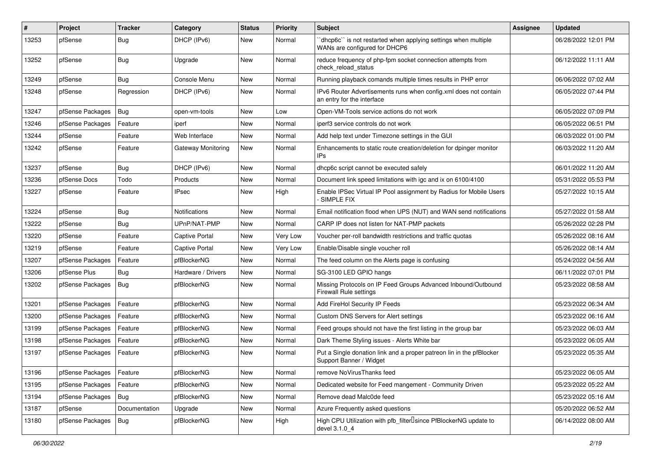| #     | Project          | <b>Tracker</b> | Category              | <b>Status</b> | <b>Priority</b> | Subject                                                                                          | Assignee | <b>Updated</b>      |
|-------|------------------|----------------|-----------------------|---------------|-----------------|--------------------------------------------------------------------------------------------------|----------|---------------------|
| 13253 | pfSense          | <b>Bug</b>     | DHCP (IPv6)           | <b>New</b>    | Normal          | 'dhcp6c'' is not restarted when applying settings when multiple<br>WANs are configured for DHCP6 |          | 06/28/2022 12:01 PM |
| 13252 | pfSense          | <b>Bug</b>     | Upgrade               | <b>New</b>    | Normal          | reduce frequency of php-fpm socket connection attempts from<br>check reload status               |          | 06/12/2022 11:11 AM |
| 13249 | pfSense          | Bug            | Console Menu          | <b>New</b>    | Normal          | Running playback comands multiple times results in PHP error                                     |          | 06/06/2022 07:02 AM |
| 13248 | pfSense          | Regression     | DHCP (IPv6)           | <b>New</b>    | Normal          | IPv6 Router Advertisements runs when config.xml does not contain<br>an entry for the interface   |          | 06/05/2022 07:44 PM |
| 13247 | pfSense Packages | Bug            | open-vm-tools         | <b>New</b>    | Low             | Open-VM-Tools service actions do not work                                                        |          | 06/05/2022 07:09 PM |
| 13246 | pfSense Packages | Feature        | iperf                 | <b>New</b>    | Normal          | iperf3 service controls do not work                                                              |          | 06/05/2022 06:51 PM |
| 13244 | pfSense          | Feature        | Web Interface         | New           | Normal          | Add help text under Timezone settings in the GUI                                                 |          | 06/03/2022 01:00 PM |
| 13242 | pfSense          | Feature        | Gateway Monitoring    | New           | Normal          | Enhancements to static route creation/deletion for dpinger monitor<br>IPs                        |          | 06/03/2022 11:20 AM |
| 13237 | pfSense          | <b>Bug</b>     | DHCP (IPv6)           | <b>New</b>    | Normal          | dhcp6c script cannot be executed safely                                                          |          | 06/01/2022 11:20 AM |
| 13236 | pfSense Docs     | Todo           | Products              | <b>New</b>    | Normal          | Document link speed limitations with igc and ix on 6100/4100                                     |          | 05/31/2022 05:53 PM |
| 13227 | pfSense          | Feature        | <b>IPsec</b>          | <b>New</b>    | High            | Enable IPSec Virtual IP Pool assignment by Radius for Mobile Users<br>- SIMPLE FIX               |          | 05/27/2022 10:15 AM |
| 13224 | pfSense          | <b>Bug</b>     | <b>Notifications</b>  | <b>New</b>    | Normal          | Email notification flood when UPS (NUT) and WAN send notifications                               |          | 05/27/2022 01:58 AM |
| 13222 | pfSense          | <b>Bug</b>     | UPnP/NAT-PMP          | <b>New</b>    | Normal          | CARP IP does not listen for NAT-PMP packets                                                      |          | 05/26/2022 02:28 PM |
| 13220 | pfSense          | Feature        | Captive Portal        | New           | Very Low        | Voucher per-roll bandwidth restrictions and traffic quotas                                       |          | 05/26/2022 08:16 AM |
| 13219 | pfSense          | Feature        | <b>Captive Portal</b> | <b>New</b>    | Very Low        | Enable/Disable single voucher roll                                                               |          | 05/26/2022 08:14 AM |
| 13207 | pfSense Packages | Feature        | pfBlockerNG           | <b>New</b>    | Normal          | The feed column on the Alerts page is confusing                                                  |          | 05/24/2022 04:56 AM |
| 13206 | pfSense Plus     | Bug            | Hardware / Drivers    | <b>New</b>    | Normal          | SG-3100 LED GPIO hangs                                                                           |          | 06/11/2022 07:01 PM |
| 13202 | pfSense Packages | Bug            | pfBlockerNG           | <b>New</b>    | Normal          | Missing Protocols on IP Feed Groups Advanced Inbound/Outbound<br><b>Firewall Rule settings</b>   |          | 05/23/2022 08:58 AM |
| 13201 | pfSense Packages | Feature        | pfBlockerNG           | <b>New</b>    | Normal          | Add FireHol Security IP Feeds                                                                    |          | 05/23/2022 06:34 AM |
| 13200 | pfSense Packages | Feature        | pfBlockerNG           | <b>New</b>    | Normal          | Custom DNS Servers for Alert settings                                                            |          | 05/23/2022 06:16 AM |
| 13199 | pfSense Packages | Feature        | pfBlockerNG           | <b>New</b>    | Normal          | Feed groups should not have the first listing in the group bar                                   |          | 05/23/2022 06:03 AM |
| 13198 | pfSense Packages | Feature        | pfBlockerNG           | <b>New</b>    | Normal          | Dark Theme Styling issues - Alerts White bar                                                     |          | 05/23/2022 06:05 AM |
| 13197 | pfSense Packages | Feature        | pfBlockerNG           | <b>New</b>    | Normal          | Put a Single donation link and a proper patreon lin in the pfBlocker<br>Support Banner / Widget  |          | 05/23/2022 05:35 AM |
| 13196 | pfSense Packages | Feature        | pfBlockerNG           | New           | Normal          | remove NoVirusThanks feed                                                                        |          | 05/23/2022 06:05 AM |
| 13195 | pfSense Packages | Feature        | pfBlockerNG           | New           | Normal          | Dedicated website for Feed mangement - Community Driven                                          |          | 05/23/2022 05:22 AM |
| 13194 | pfSense Packages | Bug            | pfBlockerNG           | New           | Normal          | Remove dead Malc0de feed                                                                         |          | 05/23/2022 05:16 AM |
| 13187 | pfSense          | Documentation  | Upgrade               | New           | Normal          | Azure Frequently asked questions                                                                 |          | 05/20/2022 06:52 AM |
| 13180 | pfSense Packages | Bug            | pfBlockerNG           | New           | High            | High CPU Utilization with pfb_filter <sup>[]</sup> since PfBlockerNG update to<br>devel 3.1.0 4  |          | 06/14/2022 08:00 AM |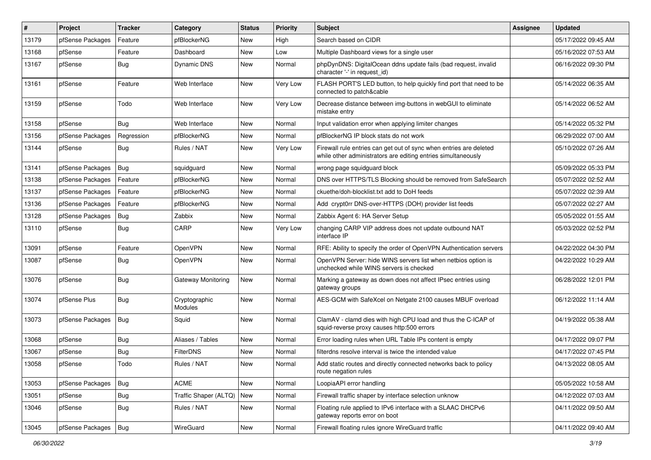| $\vert$ # | Project          | <b>Tracker</b> | Category                 | <b>Status</b> | <b>Priority</b> | <b>Subject</b>                                                                                                                      | <b>Assignee</b> | <b>Updated</b>      |
|-----------|------------------|----------------|--------------------------|---------------|-----------------|-------------------------------------------------------------------------------------------------------------------------------------|-----------------|---------------------|
| 13179     | pfSense Packages | Feature        | pfBlockerNG              | <b>New</b>    | High            | Search based on CIDR                                                                                                                |                 | 05/17/2022 09:45 AM |
| 13168     | pfSense          | Feature        | Dashboard                | <b>New</b>    | Low             | Multiple Dashboard views for a single user                                                                                          |                 | 05/16/2022 07:53 AM |
| 13167     | pfSense          | <b>Bug</b>     | <b>Dynamic DNS</b>       | New           | Normal          | phpDynDNS: DigitalOcean ddns update fails (bad request, invalid<br>character '-' in request id)                                     |                 | 06/16/2022 09:30 PM |
| 13161     | pfSense          | Feature        | Web Interface            | <b>New</b>    | <b>Very Low</b> | FLASH PORT'S LED button, to help quickly find port that need to be<br>connected to patch&cable                                      |                 | 05/14/2022 06:35 AM |
| 13159     | pfSense          | Todo           | Web Interface            | <b>New</b>    | <b>Very Low</b> | Decrease distance between img-buttons in webGUI to eliminate<br>mistake entry                                                       |                 | 05/14/2022 06:52 AM |
| 13158     | pfSense          | <b>Bug</b>     | Web Interface            | <b>New</b>    | Normal          | Input validation error when applying limiter changes                                                                                |                 | 05/14/2022 05:32 PM |
| 13156     | pfSense Packages | Regression     | pfBlockerNG              | <b>New</b>    | Normal          | pfBlockerNG IP block stats do not work                                                                                              |                 | 06/29/2022 07:00 AM |
| 13144     | pfSense          | Bug            | Rules / NAT              | New           | <b>Very Low</b> | Firewall rule entries can get out of sync when entries are deleted<br>while other administrators are editing entries simultaneously |                 | 05/10/2022 07:26 AM |
| 13141     | pfSense Packages | Bug            | squidguard               | <b>New</b>    | Normal          | wrong page squidguard block                                                                                                         |                 | 05/09/2022 05:33 PM |
| 13138     | pfSense Packages | Feature        | pfBlockerNG              | <b>New</b>    | Normal          | DNS over HTTPS/TLS Blocking should be removed from SafeSearch                                                                       |                 | 05/07/2022 02:52 AM |
| 13137     | pfSense Packages | Feature        | pfBlockerNG              | <b>New</b>    | Normal          | ckuethe/doh-blocklist.txt add to DoH feeds                                                                                          |                 | 05/07/2022 02:39 AM |
| 13136     | pfSense Packages | Feature        | pfBlockerNG              | <b>New</b>    | Normal          | Add crypt0rr DNS-over-HTTPS (DOH) provider list feeds                                                                               |                 | 05/07/2022 02:27 AM |
| 13128     | pfSense Packages | Bug            | Zabbix                   | <b>New</b>    | Normal          | Zabbix Agent 6: HA Server Setup                                                                                                     |                 | 05/05/2022 01:55 AM |
| 13110     | pfSense          | Bug            | CARP                     | <b>New</b>    | Very Low        | changing CARP VIP address does not update outbound NAT<br>interface IP                                                              |                 | 05/03/2022 02:52 PM |
| 13091     | pfSense          | Feature        | OpenVPN                  | <b>New</b>    | Normal          | RFE: Ability to specify the order of OpenVPN Authentication servers                                                                 |                 | 04/22/2022 04:30 PM |
| 13087     | pfSense          | <b>Bug</b>     | OpenVPN                  | <b>New</b>    | Normal          | OpenVPN Server: hide WINS servers list when netbios option is<br>unchecked while WINS servers is checked                            |                 | 04/22/2022 10:29 AM |
| 13076     | pfSense          | Bug            | Gateway Monitoring       | <b>New</b>    | Normal          | Marking a gateway as down does not affect IPsec entries using<br>gateway groups                                                     |                 | 06/28/2022 12:01 PM |
| 13074     | pfSense Plus     | <b>Bug</b>     | Cryptographic<br>Modules | <b>New</b>    | Normal          | AES-GCM with SafeXcel on Netgate 2100 causes MBUF overload                                                                          |                 | 06/12/2022 11:14 AM |
| 13073     | pfSense Packages | Bug            | Squid                    | <b>New</b>    | Normal          | ClamAV - clamd dies with high CPU load and thus the C-ICAP of<br>squid-reverse proxy causes http:500 errors                         |                 | 04/19/2022 05:38 AM |
| 13068     | pfSense          | Bug            | Aliases / Tables         | <b>New</b>    | Normal          | Error loading rules when URL Table IPs content is empty                                                                             |                 | 04/17/2022 09:07 PM |
| 13067     | pfSense          | Bug            | <b>FilterDNS</b>         | <b>New</b>    | Normal          | filterdns resolve interval is twice the intended value                                                                              |                 | 04/17/2022 07:45 PM |
| 13058     | pfSense          | Todo           | Rules / NAT              | <b>New</b>    | Normal          | Add static routes and directly connected networks back to policy<br>route negation rules                                            |                 | 04/13/2022 08:05 AM |
| 13053     | pfSense Packages | Bug            | <b>ACME</b>              | New           | Normal          | LoopiaAPI error handling                                                                                                            |                 | 05/05/2022 10:58 AM |
| 13051     | pfSense          | Bug            | Traffic Shaper (ALTQ)    | <b>New</b>    | Normal          | Firewall traffic shaper by interface selection unknow                                                                               |                 | 04/12/2022 07:03 AM |
| 13046     | pfSense          | <b>Bug</b>     | Rules / NAT              | New           | Normal          | Floating rule applied to IPv6 interface with a SLAAC DHCPv6<br>gateway reports error on boot                                        |                 | 04/11/2022 09:50 AM |
| 13045     | pfSense Packages | Bug            | WireGuard                | New           | Normal          | Firewall floating rules ignore WireGuard traffic                                                                                    |                 | 04/11/2022 09:40 AM |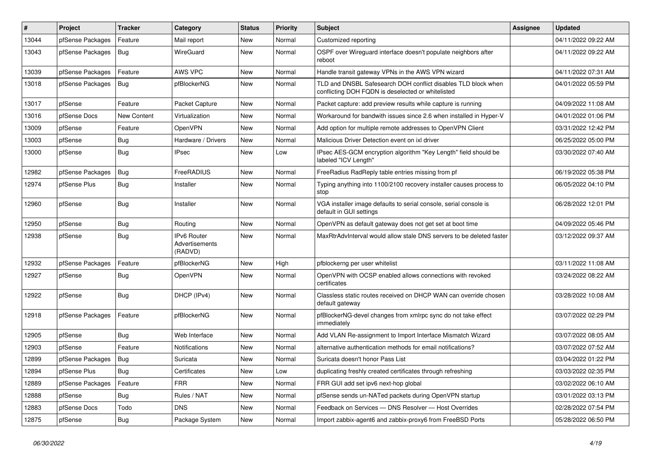| $\vert$ # | Project          | Tracker     | Category                                        | <b>Status</b> | <b>Priority</b> | Subject                                                                                                            | <b>Assignee</b> | <b>Updated</b>      |
|-----------|------------------|-------------|-------------------------------------------------|---------------|-----------------|--------------------------------------------------------------------------------------------------------------------|-----------------|---------------------|
| 13044     | pfSense Packages | Feature     | Mail report                                     | <b>New</b>    | Normal          | Customized reporting                                                                                               |                 | 04/11/2022 09:22 AM |
| 13043     | pfSense Packages | Bug         | WireGuard                                       | <b>New</b>    | Normal          | OSPF over Wireguard interface doesn't populate neighbors after<br>reboot                                           |                 | 04/11/2022 09:22 AM |
| 13039     | pfSense Packages | Feature     | AWS VPC                                         | <b>New</b>    | Normal          | Handle transit gateway VPNs in the AWS VPN wizard                                                                  |                 | 04/11/2022 07:31 AM |
| 13018     | pfSense Packages | Bug         | pfBlockerNG                                     | <b>New</b>    | Normal          | TLD and DNSBL Safesearch DOH conflict disables TLD block when<br>conflicting DOH FQDN is deselected or whitelisted |                 | 04/01/2022 05:59 PM |
| 13017     | pfSense          | Feature     | Packet Capture                                  | <b>New</b>    | Normal          | Packet capture: add preview results while capture is running                                                       |                 | 04/09/2022 11:08 AM |
| 13016     | pfSense Docs     | New Content | Virtualization                                  | <b>New</b>    | Normal          | Workaround for bandwith issues since 2.6 when installed in Hyper-V                                                 |                 | 04/01/2022 01:06 PM |
| 13009     | pfSense          | Feature     | OpenVPN                                         | New           | Normal          | Add option for multiple remote addresses to OpenVPN Client                                                         |                 | 03/31/2022 12:42 PM |
| 13003     | pfSense          | <b>Bug</b>  | Hardware / Drivers                              | <b>New</b>    | Normal          | Malicious Driver Detection event on ixl driver                                                                     |                 | 06/25/2022 05:00 PM |
| 13000     | pfSense          | <b>Bug</b>  | <b>IPsec</b>                                    | New           | Low             | IPsec AES-GCM encryption algorithm "Key Length" field should be<br>labeled "ICV Length"                            |                 | 03/30/2022 07:40 AM |
| 12982     | pfSense Packages | Bug         | FreeRADIUS                                      | <b>New</b>    | Normal          | FreeRadius RadReply table entries missing from pf                                                                  |                 | 06/19/2022 05:38 PM |
| 12974     | pfSense Plus     | Bug         | Installer                                       | <b>New</b>    | Normal          | Typing anything into 1100/2100 recovery installer causes process to<br>stop                                        |                 | 06/05/2022 04:10 PM |
| 12960     | pfSense          | Bug         | Installer                                       | <b>New</b>    | Normal          | VGA installer image defaults to serial console, serial console is<br>default in GUI settings                       |                 | 06/28/2022 12:01 PM |
| 12950     | pfSense          | Bug         | Routing                                         | <b>New</b>    | Normal          | OpenVPN as default gateway does not get set at boot time                                                           |                 | 04/09/2022 05:46 PM |
| 12938     | pfSense          | <b>Bug</b>  | <b>IPv6 Router</b><br>Advertisements<br>(RADVD) | <b>New</b>    | Normal          | MaxRtrAdvInterval would allow stale DNS servers to be deleted faster                                               |                 | 03/12/2022 09:37 AM |
| 12932     | pfSense Packages | Feature     | pfBlockerNG                                     | <b>New</b>    | High            | pfblockerng per user whitelist                                                                                     |                 | 03/11/2022 11:08 AM |
| 12927     | pfSense          | <b>Bug</b>  | OpenVPN                                         | <b>New</b>    | Normal          | OpenVPN with OCSP enabled allows connections with revoked<br>certificates                                          |                 | 03/24/2022 08:22 AM |
| 12922     | pfSense          | Bug         | DHCP (IPv4)                                     | <b>New</b>    | Normal          | Classless static routes received on DHCP WAN can override chosen<br>default gateway                                |                 | 03/28/2022 10:08 AM |
| 12918     | pfSense Packages | Feature     | pfBlockerNG                                     | <b>New</b>    | Normal          | pfBlockerNG-devel changes from xmlrpc sync do not take effect<br>immediately                                       |                 | 03/07/2022 02:29 PM |
| 12905     | pfSense          | <b>Bug</b>  | Web Interface                                   | <b>New</b>    | Normal          | Add VLAN Re-assignment to Import Interface Mismatch Wizard                                                         |                 | 03/07/2022 08:05 AM |
| 12903     | pfSense          | Feature     | Notifications                                   | <b>New</b>    | Normal          | alternative authentication methods for email notifications?                                                        |                 | 03/07/2022 07:52 AM |
| 12899     | pfSense Packages | Bug         | Suricata                                        | <b>New</b>    | Normal          | Suricata doesn't honor Pass List                                                                                   |                 | 03/04/2022 01:22 PM |
| 12894     | pfSense Plus     | Bug         | Certificates                                    | New           | Low             | duplicating freshly created certificates through refreshing                                                        |                 | 03/03/2022 02:35 PM |
| 12889     | pfSense Packages | Feature     | <b>FRR</b>                                      | New           | Normal          | FRR GUI add set ipv6 next-hop global                                                                               |                 | 03/02/2022 06:10 AM |
| 12888     | pfSense          | <b>Bug</b>  | Rules / NAT                                     | New           | Normal          | pfSense sends un-NATed packets during OpenVPN startup                                                              |                 | 03/01/2022 03:13 PM |
| 12883     | pfSense Docs     | Todo        | <b>DNS</b>                                      | New           | Normal          | Feedback on Services - DNS Resolver - Host Overrides                                                               |                 | 02/28/2022 07:54 PM |
| 12875     | pfSense          | Bug         | Package System                                  | New           | Normal          | Import zabbix-agent6 and zabbix-proxy6 from FreeBSD Ports                                                          |                 | 05/28/2022 06:50 PM |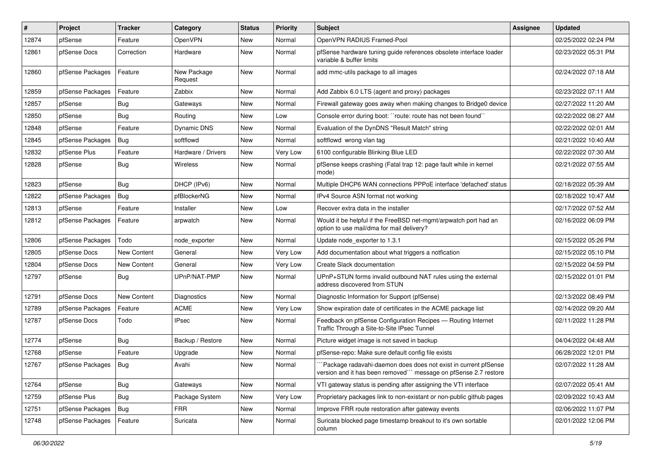| $\vert$ # | Project          | <b>Tracker</b> | Category               | <b>Status</b> | <b>Priority</b> | Subject                                                                                                                             | <b>Assignee</b> | <b>Updated</b>      |
|-----------|------------------|----------------|------------------------|---------------|-----------------|-------------------------------------------------------------------------------------------------------------------------------------|-----------------|---------------------|
| 12874     | pfSense          | Feature        | OpenVPN                | <b>New</b>    | Normal          | OpenVPN RADIUS Framed-Pool                                                                                                          |                 | 02/25/2022 02:24 PM |
| 12861     | pfSense Docs     | Correction     | Hardware               | <b>New</b>    | Normal          | pfSense hardware tuning guide references obsolete interface loader<br>variable & buffer limits                                      |                 | 02/23/2022 05:31 PM |
| 12860     | pfSense Packages | Feature        | New Package<br>Request | <b>New</b>    | Normal          | add mmc-utils package to all images                                                                                                 |                 | 02/24/2022 07:18 AM |
| 12859     | pfSense Packages | Feature        | Zabbix                 | <b>New</b>    | Normal          | Add Zabbix 6.0 LTS (agent and proxy) packages                                                                                       |                 | 02/23/2022 07:11 AM |
| 12857     | pfSense          | Bug            | Gateways               | <b>New</b>    | Normal          | Firewall gateway goes away when making changes to Bridge0 device                                                                    |                 | 02/27/2022 11:20 AM |
| 12850     | pfSense          | Bug            | Routing                | <b>New</b>    | Low             | Console error during boot: "route: route has not been found"                                                                        |                 | 02/22/2022 08:27 AM |
| 12848     | pfSense          | Feature        | <b>Dynamic DNS</b>     | New           | Normal          | Evaluation of the DynDNS "Result Match" string                                                                                      |                 | 02/22/2022 02:01 AM |
| 12845     | pfSense Packages | Bug            | softflowd              | New           | Normal          | softflowd wrong vlan tag                                                                                                            |                 | 02/21/2022 10:40 AM |
| 12832     | pfSense Plus     | Feature        | Hardware / Drivers     | <b>New</b>    | Very Low        | 6100 configurable Blinking Blue LED                                                                                                 |                 | 02/22/2022 07:30 AM |
| 12828     | pfSense          | <b>Bug</b>     | Wireless               | New           | Normal          | pfSense keeps crashing (Fatal trap 12: page fault while in kernel<br>mode)                                                          |                 | 02/21/2022 07:55 AM |
| 12823     | pfSense          | Bug            | DHCP (IPv6)            | <b>New</b>    | Normal          | Multiple DHCP6 WAN connections PPPoE interface 'defached' status                                                                    |                 | 02/18/2022 05:39 AM |
| 12822     | pfSense Packages | Bug            | pfBlockerNG            | <b>New</b>    | Normal          | IPv4 Source ASN format not working                                                                                                  |                 | 02/18/2022 10:47 AM |
| 12813     | pfSense          | Feature        | Installer              | <b>New</b>    | Low             | Recover extra data in the installer                                                                                                 |                 | 02/17/2022 07:52 AM |
| 12812     | pfSense Packages | Feature        | arpwatch               | New           | Normal          | Would it be helpful if the FreeBSD net-mgmt/arpwatch port had an<br>option to use mail/dma for mail delivery?                       |                 | 02/16/2022 06:09 PM |
| 12806     | pfSense Packages | Todo           | node exporter          | <b>New</b>    | Normal          | Update node_exporter to 1.3.1                                                                                                       |                 | 02/15/2022 05:26 PM |
| 12805     | pfSense Docs     | New Content    | General                | <b>New</b>    | Very Low        | Add documentation about what triggers a notfication                                                                                 |                 | 02/15/2022 05:10 PM |
| 12804     | pfSense Docs     | New Content    | General                | <b>New</b>    | Very Low        | Create Slack documentation                                                                                                          |                 | 02/15/2022 04:59 PM |
| 12797     | pfSense          | <b>Bug</b>     | UPnP/NAT-PMP           | New           | Normal          | UPnP+STUN forms invalid outbound NAT rules using the external<br>address discovered from STUN                                       |                 | 02/15/2022 01:01 PM |
| 12791     | pfSense Docs     | New Content    | Diagnostics            | <b>New</b>    | Normal          | Diagnostic Information for Support (pfSense)                                                                                        |                 | 02/13/2022 08:49 PM |
| 12789     | pfSense Packages | Feature        | <b>ACME</b>            | <b>New</b>    | Very Low        | Show expiration date of certificates in the ACME package list                                                                       |                 | 02/14/2022 09:20 AM |
| 12787     | pfSense Docs     | Todo           | <b>IPsec</b>           | <b>New</b>    | Normal          | Feedback on pfSense Configuration Recipes - Routing Internet<br>Traffic Through a Site-to-Site IPsec Tunnel                         |                 | 02/11/2022 11:28 PM |
| 12774     | pfSense          | <b>Bug</b>     | Backup / Restore       | <b>New</b>    | Normal          | Picture widget image is not saved in backup                                                                                         |                 | 04/04/2022 04:48 AM |
| 12768     | pfSense          | Feature        | Upgrade                | <b>New</b>    | Normal          | pfSense-repo: Make sure default config file exists                                                                                  |                 | 06/28/2022 12:01 PM |
| 12767     | pfSense Packages | Bug            | Avahi                  | <b>New</b>    | Normal          | "Package radavahi-daemon does does not exist in current pfSense<br>version and it has been removed"" message on pfSense 2.7 restore |                 | 02/07/2022 11:28 AM |
| 12764     | pfSense          | Bug            | Gateways               | New           | Normal          | VTI gateway status is pending after assigning the VTI interface                                                                     |                 | 02/07/2022 05:41 AM |
| 12759     | pfSense Plus     | Bug            | Package System         | New           | Very Low        | Proprietary packages link to non-existant or non-public github pages                                                                |                 | 02/09/2022 10:43 AM |
| 12751     | pfSense Packages | Bug            | <b>FRR</b>             | New           | Normal          | Improve FRR route restoration after gateway events                                                                                  |                 | 02/06/2022 11:07 PM |
| 12748     | pfSense Packages | Feature        | Suricata               | New           | Normal          | Suricata blocked page timestamp breakout to it's own sortable<br>column                                                             |                 | 02/01/2022 12:06 PM |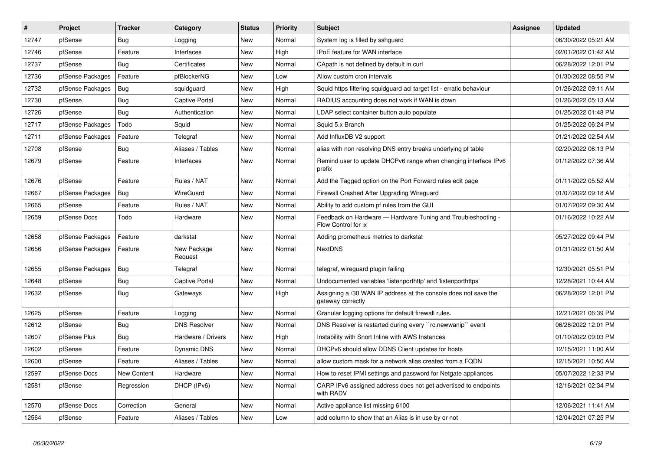| $\sharp$ | Project          | <b>Tracker</b> | Category               | <b>Status</b> | <b>Priority</b> | <b>Subject</b>                                                                       | <b>Assignee</b> | <b>Updated</b>      |
|----------|------------------|----------------|------------------------|---------------|-----------------|--------------------------------------------------------------------------------------|-----------------|---------------------|
| 12747    | pfSense          | Bug            | Logging                | <b>New</b>    | Normal          | System log is filled by sshguard                                                     |                 | 06/30/2022 05:21 AM |
| 12746    | pfSense          | Feature        | Interfaces             | <b>New</b>    | High            | <b>IPoE</b> feature for WAN interface                                                |                 | 02/01/2022 01:42 AM |
| 12737    | pfSense          | <b>Bug</b>     | Certificates           | <b>New</b>    | Normal          | CApath is not defined by default in curl                                             |                 | 06/28/2022 12:01 PM |
| 12736    | pfSense Packages | Feature        | pfBlockerNG            | <b>New</b>    | Low             | Allow custom cron intervals                                                          |                 | 01/30/2022 08:55 PM |
| 12732    | pfSense Packages | <b>Bug</b>     | squidguard             | <b>New</b>    | High            | Squid https filtering squidguard acl target list - erratic behaviour                 |                 | 01/26/2022 09:11 AM |
| 12730    | pfSense          | Bug            | Captive Portal         | <b>New</b>    | Normal          | RADIUS accounting does not work if WAN is down                                       |                 | 01/26/2022 05:13 AM |
| 12726    | pfSense          | Bug            | Authentication         | New           | Normal          | LDAP select container button auto populate                                           |                 | 01/25/2022 01:48 PM |
| 12717    | pfSense Packages | Todo           | Squid                  | <b>New</b>    | Normal          | Squid 5.x Branch                                                                     |                 | 01/25/2022 06:24 PM |
| 12711    | pfSense Packages | Feature        | Telegraf               | <b>New</b>    | Normal          | Add InfluxDB V2 support                                                              |                 | 01/21/2022 02:54 AM |
| 12708    | pfSense          | <b>Bug</b>     | Aliases / Tables       | <b>New</b>    | Normal          | alias with non resolving DNS entry breaks underlying pf table                        |                 | 02/20/2022 06:13 PM |
| 12679    | pfSense          | Feature        | Interfaces             | New           | Normal          | Remind user to update DHCPv6 range when changing interface IPv6<br>prefix            |                 | 01/12/2022 07:36 AM |
| 12676    | pfSense          | Feature        | Rules / NAT            | <b>New</b>    | Normal          | Add the Tagged option on the Port Forward rules edit page                            |                 | 01/11/2022 05:52 AM |
| 12667    | pfSense Packages | Bug            | WireGuard              | New           | Normal          | Firewall Crashed After Upgrading Wireguard                                           |                 | 01/07/2022 09:18 AM |
| 12665    | pfSense          | Feature        | Rules / NAT            | New           | Normal          | Ability to add custom pf rules from the GUI                                          |                 | 01/07/2022 09:30 AM |
| 12659    | pfSense Docs     | Todo           | Hardware               | <b>New</b>    | Normal          | Feedback on Hardware - Hardware Tuning and Troubleshooting -<br>Flow Control for ix  |                 | 01/16/2022 10:22 AM |
| 12658    | pfSense Packages | Feature        | darkstat               | New           | Normal          | Adding prometheus metrics to darkstat                                                |                 | 05/27/2022 09:44 PM |
| 12656    | pfSense Packages | Feature        | New Package<br>Request | New           | Normal          | <b>NextDNS</b>                                                                       |                 | 01/31/2022 01:50 AM |
| 12655    | pfSense Packages | Bug            | Telegraf               | New           | Normal          | telegraf, wireguard plugin failing                                                   |                 | 12/30/2021 05:51 PM |
| 12648    | pfSense          | Bug            | Captive Portal         | New           | Normal          | Undocumented variables 'listenporthttp' and 'listenporthttps'                        |                 | 12/28/2021 10:44 AM |
| 12632    | pfSense          | <b>Bug</b>     | Gateways               | <b>New</b>    | High            | Assigning a /30 WAN IP address at the console does not save the<br>gateway correctly |                 | 06/28/2022 12:01 PM |
| 12625    | pfSense          | Feature        | Logging                | <b>New</b>    | Normal          | Granular logging options for default firewall rules.                                 |                 | 12/21/2021 06:39 PM |
| 12612    | pfSense          | Bug            | <b>DNS Resolver</b>    | New           | Normal          | DNS Resolver is restarted during every "rc.newwanip" event                           |                 | 06/28/2022 12:01 PM |
| 12607    | pfSense Plus     | <b>Bug</b>     | Hardware / Drivers     | <b>New</b>    | High            | Instability with Snort Inline with AWS Instances                                     |                 | 01/10/2022 09:03 PM |
| 12602    | pfSense          | Feature        | <b>Dynamic DNS</b>     | New           | Normal          | DHCPv6 should allow DDNS Client updates for hosts                                    |                 | 12/15/2021 11:00 AM |
| 12600    | pfSense          | Feature        | Aliases / Tables       | <b>New</b>    | Normal          | allow custom mask for a network alias created from a FQDN                            |                 | 12/15/2021 10:50 AM |
| 12597    | pfSense Docs     | New Content    | Hardware               | <b>New</b>    | Normal          | How to reset IPMI settings and password for Netgate appliances                       |                 | 05/07/2022 12:33 PM |
| 12581    | pfSense          | Regression     | DHCP (IPv6)            | <b>New</b>    | Normal          | CARP IPv6 assigned address does not get advertised to endpoints<br>with RADV         |                 | 12/16/2021 02:34 PM |
| 12570    | pfSense Docs     | Correction     | General                | <b>New</b>    | Normal          | Active appliance list missing 6100                                                   |                 | 12/06/2021 11:41 AM |
| 12564    | pfSense          | Feature        | Aliases / Tables       | <b>New</b>    | Low             | add column to show that an Alias is in use by or not                                 |                 | 12/04/2021 07:25 PM |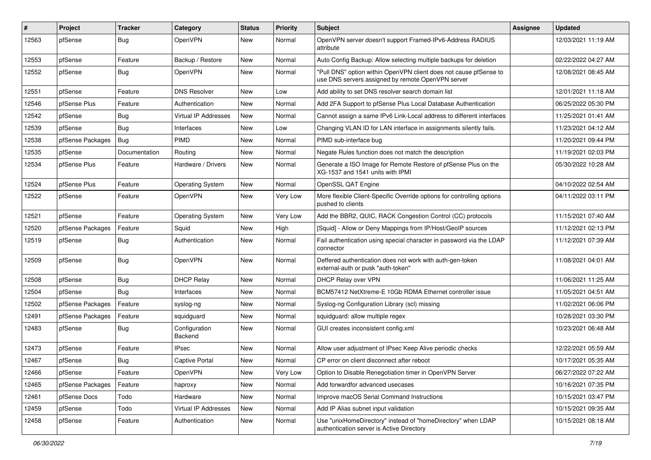| #     | Project          | <b>Tracker</b> | Category                 | <b>Status</b> | <b>Priority</b> | <b>Subject</b>                                                                                                         | <b>Assignee</b> | <b>Updated</b>      |
|-------|------------------|----------------|--------------------------|---------------|-----------------|------------------------------------------------------------------------------------------------------------------------|-----------------|---------------------|
| 12563 | pfSense          | Bug            | <b>OpenVPN</b>           | New           | Normal          | OpenVPN server doesn't support Framed-IPv6-Address RADIUS<br>attribute                                                 |                 | 12/03/2021 11:19 AM |
| 12553 | pfSense          | Feature        | Backup / Restore         | New           | Normal          | Auto Config Backup: Allow selecting multiple backups for deletion                                                      |                 | 02/22/2022 04:27 AM |
| 12552 | pfSense          | Bug            | <b>OpenVPN</b>           | New           | Normal          | "Pull DNS" option within OpenVPN client does not cause pfSense to<br>use DNS servers assigned by remote OpenVPN server |                 | 12/08/2021 08:45 AM |
| 12551 | pfSense          | Feature        | <b>DNS Resolver</b>      | New           | Low             | Add ability to set DNS resolver search domain list                                                                     |                 | 12/01/2021 11:18 AM |
| 12546 | pfSense Plus     | Feature        | Authentication           | New           | Normal          | Add 2FA Support to pfSense Plus Local Database Authentication                                                          |                 | 06/25/2022 05:30 PM |
| 12542 | pfSense          | Bug            | Virtual IP Addresses     | <b>New</b>    | Normal          | Cannot assign a same IPv6 Link-Local address to different interfaces                                                   |                 | 11/25/2021 01:41 AM |
| 12539 | pfSense          | Bug            | Interfaces               | New           | Low             | Changing VLAN ID for LAN interface in assignments silently fails.                                                      |                 | 11/23/2021 04:12 AM |
| 12538 | pfSense Packages | Bug            | <b>PIMD</b>              | <b>New</b>    | Normal          | PIMD sub-interface bug                                                                                                 |                 | 11/20/2021 09:44 PM |
| 12535 | pfSense          | Documentation  | Routing                  | New           | Normal          | Negate Rules function does not match the description                                                                   |                 | 11/19/2021 02:03 PM |
| 12534 | pfSense Plus     | Feature        | Hardware / Drivers       | New           | Normal          | Generate a ISO Image for Remote Restore of pfSense Plus on the<br>XG-1537 and 1541 units with IPMI                     |                 | 05/30/2022 10:28 AM |
| 12524 | pfSense Plus     | Feature        | <b>Operating System</b>  | New           | Normal          | OpenSSL QAT Engine                                                                                                     |                 | 04/10/2022 02:54 AM |
| 12522 | pfSense          | Feature        | <b>OpenVPN</b>           | New           | Very Low        | More flexible Client-Specific Override options for controlling options<br>pushed to clients                            |                 | 04/11/2022 03:11 PM |
| 12521 | pfSense          | Feature        | <b>Operating System</b>  | New           | Very Low        | Add the BBR2, QUIC, RACK Congestion Control (CC) protocols                                                             |                 | 11/15/2021 07:40 AM |
| 12520 | pfSense Packages | Feature        | Squid                    | New           | High            | [Squid] - Allow or Deny Mappings from IP/Host/GeoIP sources                                                            |                 | 11/12/2021 02:13 PM |
| 12519 | pfSense          | Bug            | Authentication           | New           | Normal          | Fail authentication using special character in password via the LDAP<br>connector                                      |                 | 11/12/2021 07:39 AM |
| 12509 | pfSense          | Bug            | OpenVPN                  | New           | Normal          | Deffered authentication does not work with auth-gen-token<br>external-auth or pusk "auth-token"                        |                 | 11/08/2021 04:01 AM |
| 12508 | pfSense          | Bug            | <b>DHCP Relay</b>        | New           | Normal          | DHCP Relay over VPN                                                                                                    |                 | 11/06/2021 11:25 AM |
| 12504 | pfSense          | Bug            | Interfaces               | New           | Normal          | BCM57412 NetXtreme-E 10Gb RDMA Ethernet controller issue                                                               |                 | 11/05/2021 04:51 AM |
| 12502 | pfSense Packages | Feature        | syslog-ng                | New           | Normal          | Syslog-ng Configuration Library (scl) missing                                                                          |                 | 11/02/2021 06:06 PM |
| 12491 | pfSense Packages | Feature        | squidguard               | <b>New</b>    | Normal          | squidguard: allow multiple regex                                                                                       |                 | 10/28/2021 03:30 PM |
| 12483 | pfSense          | Bug            | Configuration<br>Backend | New           | Normal          | GUI creates inconsistent config.xml                                                                                    |                 | 10/23/2021 06:48 AM |
| 12473 | pfSense          | Feature        | <b>IPsec</b>             | <b>New</b>    | Normal          | Allow user adjustment of IPsec Keep Alive periodic checks                                                              |                 | 12/22/2021 05:59 AM |
| 12467 | pfSense          | Bug            | <b>Captive Portal</b>    | New           | Normal          | CP error on client disconnect after reboot                                                                             |                 | 10/17/2021 05:35 AM |
| 12466 | pfSense          | Feature        | OpenVPN                  | New           | Very Low        | Option to Disable Renegotiation timer in OpenVPN Server                                                                |                 | 06/27/2022 07:22 AM |
| 12465 | pfSense Packages | Feature        | haproxy                  | New           | Normal          | Add forwardfor advanced usecases                                                                                       |                 | 10/16/2021 07:35 PM |
| 12461 | pfSense Docs     | Todo           | Hardware                 | New           | Normal          | Improve macOS Serial Command Instructions                                                                              |                 | 10/15/2021 03:47 PM |
| 12459 | pfSense          | Todo           | Virtual IP Addresses     | New           | Normal          | Add IP Alias subnet input validation                                                                                   |                 | 10/15/2021 09:35 AM |
| 12458 | pfSense          | Feature        | Authentication           | New           | Normal          | Use "unixHomeDirectory" instead of "homeDirectory" when LDAP<br>authentication server is Active Directory              |                 | 10/15/2021 08:18 AM |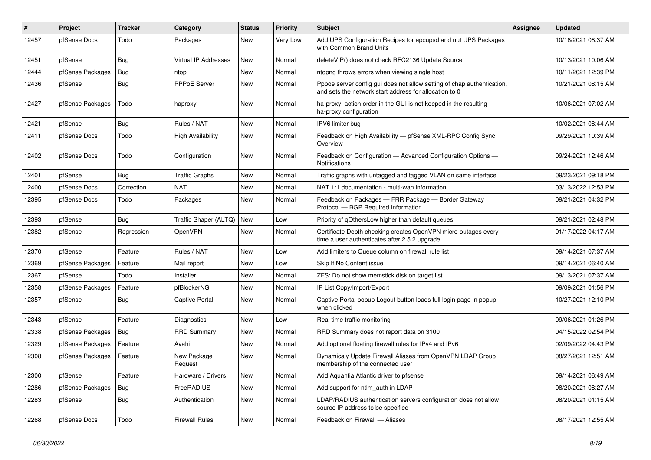| #     | Project          | <b>Tracker</b> | Category                 | <b>Status</b> | <b>Priority</b> | Subject                                                                                                                          | Assignee | <b>Updated</b>      |
|-------|------------------|----------------|--------------------------|---------------|-----------------|----------------------------------------------------------------------------------------------------------------------------------|----------|---------------------|
| 12457 | pfSense Docs     | Todo           | Packages                 | New           | Very Low        | Add UPS Configuration Recipes for apcupsd and nut UPS Packages<br>with Common Brand Units                                        |          | 10/18/2021 08:37 AM |
| 12451 | pfSense          | Bug            | Virtual IP Addresses     | New           | Normal          | deleteVIP() does not check RFC2136 Update Source                                                                                 |          | 10/13/2021 10:06 AM |
| 12444 | pfSense Packages | Bug            | ntop                     | New           | Normal          | ntopng throws errors when viewing single host                                                                                    |          | 10/11/2021 12:39 PM |
| 12436 | pfSense          | Bug            | PPPoE Server             | New           | Normal          | Pppoe server config gui does not allow setting of chap authentication,<br>and sets the network start address for allocation to 0 |          | 10/21/2021 08:15 AM |
| 12427 | pfSense Packages | Todo           | haproxy                  | New           | Normal          | ha-proxy: action order in the GUI is not keeped in the resulting<br>ha-proxy configuration                                       |          | 10/06/2021 07:02 AM |
| 12421 | pfSense          | Bug            | Rules / NAT              | <b>New</b>    | Normal          | IPV6 limiter bug                                                                                                                 |          | 10/02/2021 08:44 AM |
| 12411 | pfSense Docs     | Todo           | <b>High Availability</b> | New           | Normal          | Feedback on High Availability - pfSense XML-RPC Config Sync<br>Overview                                                          |          | 09/29/2021 10:39 AM |
| 12402 | pfSense Docs     | Todo           | Configuration            | <b>New</b>    | Normal          | Feedback on Configuration - Advanced Configuration Options -<br>Notifications                                                    |          | 09/24/2021 12:46 AM |
| 12401 | pfSense          | Bug            | <b>Traffic Graphs</b>    | New           | Normal          | Traffic graphs with untagged and tagged VLAN on same interface                                                                   |          | 09/23/2021 09:18 PM |
| 12400 | pfSense Docs     | Correction     | <b>NAT</b>               | <b>New</b>    | Normal          | NAT 1:1 documentation - multi-wan information                                                                                    |          | 03/13/2022 12:53 PM |
| 12395 | pfSense Docs     | Todo           | Packages                 | New           | Normal          | Feedback on Packages - FRR Package - Border Gateway<br>Protocol - BGP Required Information                                       |          | 09/21/2021 04:32 PM |
| 12393 | pfSense          | Bug            | Traffic Shaper (ALTQ)    | <b>New</b>    | Low             | Priority of gOthersLow higher than default queues                                                                                |          | 09/21/2021 02:48 PM |
| 12382 | pfSense          | Regression     | <b>OpenVPN</b>           | <b>New</b>    | Normal          | Certificate Depth checking creates OpenVPN micro-outages every<br>time a user authenticates after 2.5.2 upgrade                  |          | 01/17/2022 04:17 AM |
| 12370 | pfSense          | Feature        | Rules / NAT              | New           | Low             | Add limiters to Queue column on firewall rule list                                                                               |          | 09/14/2021 07:37 AM |
| 12369 | pfSense Packages | Feature        | Mail report              | New           | Low             | Skip If No Content issue                                                                                                         |          | 09/14/2021 06:40 AM |
| 12367 | pfSense          | Todo           | Installer                | New           | Normal          | ZFS: Do not show memstick disk on target list                                                                                    |          | 09/13/2021 07:37 AM |
| 12358 | pfSense Packages | Feature        | pfBlockerNG              | <b>New</b>    | Normal          | IP List Copy/Import/Export                                                                                                       |          | 09/09/2021 01:56 PM |
| 12357 | pfSense          | Bug            | Captive Portal           | <b>New</b>    | Normal          | Captive Portal popup Logout button loads full login page in popup<br>when clicked                                                |          | 10/27/2021 12:10 PM |
| 12343 | pfSense          | Feature        | <b>Diagnostics</b>       | New           | Low             | Real time traffic monitoring                                                                                                     |          | 09/06/2021 01:26 PM |
| 12338 | pfSense Packages | Bug            | <b>RRD Summary</b>       | <b>New</b>    | Normal          | RRD Summary does not report data on 3100                                                                                         |          | 04/15/2022 02:54 PM |
| 12329 | pfSense Packages | Feature        | Avahi                    | <b>New</b>    | Normal          | Add optional floating firewall rules for IPv4 and IPv6                                                                           |          | 02/09/2022 04:43 PM |
| 12308 | pfSense Packages | Feature        | New Package<br>Request   | <b>New</b>    | Normal          | Dynamicaly Update Firewall Aliases from OpenVPN LDAP Group<br>membership of the connected user                                   |          | 08/27/2021 12:51 AM |
| 12300 | pfSense          | Feature        | Hardware / Drivers       | New           | Normal          | Add Aquantia Atlantic driver to pfsense                                                                                          |          | 09/14/2021 06:49 AM |
| 12286 | pfSense Packages | Bug            | FreeRADIUS               | New           | Normal          | Add support for ntlm_auth in LDAP                                                                                                |          | 08/20/2021 08:27 AM |
| 12283 | pfSense          | <b>Bug</b>     | Authentication           | New           | Normal          | LDAP/RADIUS authentication servers configuration does not allow<br>source IP address to be specified                             |          | 08/20/2021 01:15 AM |
| 12268 | pfSense Docs     | Todo           | <b>Firewall Rules</b>    | New           | Normal          | Feedback on Firewall - Aliases                                                                                                   |          | 08/17/2021 12:55 AM |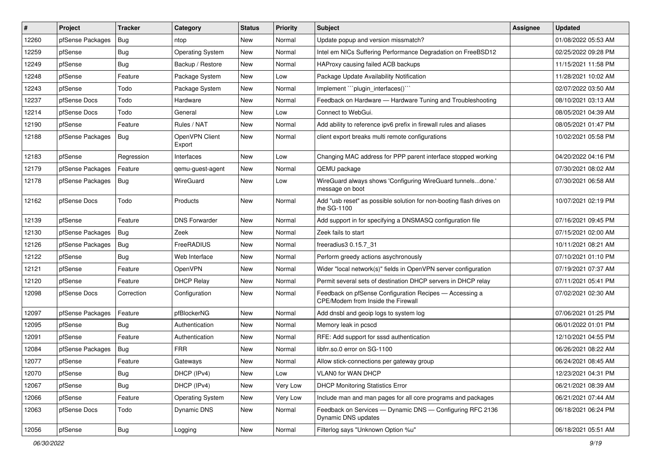| $\sharp$ | Project          | <b>Tracker</b> | Category                 | <b>Status</b> | <b>Priority</b> | <b>Subject</b>                                                                                | <b>Assignee</b> | <b>Updated</b>      |
|----------|------------------|----------------|--------------------------|---------------|-----------------|-----------------------------------------------------------------------------------------------|-----------------|---------------------|
| 12260    | pfSense Packages | <b>Bug</b>     | ntop                     | <b>New</b>    | Normal          | Update popup and version missmatch?                                                           |                 | 01/08/2022 05:53 AM |
| 12259    | pfSense          | Bug            | <b>Operating System</b>  | New           | Normal          | Intel em NICs Suffering Performance Degradation on FreeBSD12                                  |                 | 02/25/2022 09:28 PM |
| 12249    | pfSense          | Bug            | Backup / Restore         | <b>New</b>    | Normal          | HAProxy causing failed ACB backups                                                            |                 | 11/15/2021 11:58 PM |
| 12248    | pfSense          | Feature        | Package System           | <b>New</b>    | Low             | Package Update Availability Notification                                                      |                 | 11/28/2021 10:02 AM |
| 12243    | pfSense          | Todo           | Package System           | New           | Normal          | Implement ""plugin_interfaces()""                                                             |                 | 02/07/2022 03:50 AM |
| 12237    | pfSense Docs     | Todo           | Hardware                 | <b>New</b>    | Normal          | Feedback on Hardware - Hardware Tuning and Troubleshooting                                    |                 | 08/10/2021 03:13 AM |
| 12214    | pfSense Docs     | Todo           | General                  | New           | Low             | Connect to WebGui.                                                                            |                 | 08/05/2021 04:39 AM |
| 12190    | pfSense          | Feature        | Rules / NAT              | New           | Normal          | Add ability to reference ipv6 prefix in firewall rules and aliases                            |                 | 08/05/2021 01:47 PM |
| 12188    | pfSense Packages | Bug            | OpenVPN Client<br>Export | New           | Normal          | client export breaks multi remote configurations                                              |                 | 10/02/2021 05:58 PM |
| 12183    | pfSense          | Regression     | Interfaces               | New           | Low             | Changing MAC address for PPP parent interface stopped working                                 |                 | 04/20/2022 04:16 PM |
| 12179    | pfSense Packages | Feature        | qemu-guest-agent         | New           | Normal          | QEMU package                                                                                  |                 | 07/30/2021 08:02 AM |
| 12178    | pfSense Packages | Bug            | WireGuard                | <b>New</b>    | Low             | WireGuard always shows 'Configuring WireGuard tunnelsdone.'<br>message on boot                |                 | 07/30/2021 06:58 AM |
| 12162    | pfSense Docs     | Todo           | Products                 | New           | Normal          | Add "usb reset" as possible solution for non-booting flash drives on<br>the SG-1100           |                 | 10/07/2021 02:19 PM |
| 12139    | pfSense          | Feature        | <b>DNS Forwarder</b>     | New           | Normal          | Add support in for specifying a DNSMASQ configuration file                                    |                 | 07/16/2021 09:45 PM |
| 12130    | pfSense Packages | Bug            | Zeek                     | <b>New</b>    | Normal          | Zeek fails to start                                                                           |                 | 07/15/2021 02:00 AM |
| 12126    | pfSense Packages | Bug            | FreeRADIUS               | New           | Normal          | freeradius3 0.15.7 31                                                                         |                 | 10/11/2021 08:21 AM |
| 12122    | pfSense          | Bug            | Web Interface            | <b>New</b>    | Normal          | Perform greedy actions asychronously                                                          |                 | 07/10/2021 01:10 PM |
| 12121    | pfSense          | Feature        | <b>OpenVPN</b>           | <b>New</b>    | Normal          | Wider "local network(s)" fields in OpenVPN server configuration                               |                 | 07/19/2021 07:37 AM |
| 12120    | pfSense          | Feature        | <b>DHCP Relay</b>        | New           | Normal          | Permit several sets of destination DHCP servers in DHCP relay                                 |                 | 07/11/2021 05:41 PM |
| 12098    | pfSense Docs     | Correction     | Configuration            | New           | Normal          | Feedback on pfSense Configuration Recipes - Accessing a<br>CPE/Modem from Inside the Firewall |                 | 07/02/2021 02:30 AM |
| 12097    | pfSense Packages | Feature        | pfBlockerNG              | New           | Normal          | Add dnsbl and geoip logs to system log                                                        |                 | 07/06/2021 01:25 PM |
| 12095    | pfSense          | <b>Bug</b>     | Authentication           | <b>New</b>    | Normal          | Memory leak in pcscd                                                                          |                 | 06/01/2022 01:01 PM |
| 12091    | pfSense          | Feature        | Authentication           | New           | Normal          | RFE: Add support for sssd authentication                                                      |                 | 12/10/2021 04:55 PM |
| 12084    | pfSense Packages | Bug            | <b>FRR</b>               | <b>New</b>    | Normal          | libfrr.so.0 error on SG-1100                                                                  |                 | 06/26/2021 08:22 AM |
| 12077    | pfSense          | Feature        | Gateways                 | <b>New</b>    | Normal          | Allow stick-connections per gateway group                                                     |                 | 06/24/2021 08:45 AM |
| 12070    | pfSense          | <b>Bug</b>     | DHCP (IPv4)              | New           | Low             | VLAN0 for WAN DHCP                                                                            |                 | 12/23/2021 04:31 PM |
| 12067    | pfSense          | <b>Bug</b>     | DHCP (IPv4)              | New           | Very Low        | <b>DHCP Monitoring Statistics Error</b>                                                       |                 | 06/21/2021 08:39 AM |
| 12066    | pfSense          | Feature        | <b>Operating System</b>  | New           | Very Low        | Include man and man pages for all core programs and packages                                  |                 | 06/21/2021 07:44 AM |
| 12063    | pfSense Docs     | Todo           | Dynamic DNS              | New           | Normal          | Feedback on Services - Dynamic DNS - Configuring RFC 2136<br>Dynamic DNS updates              |                 | 06/18/2021 06:24 PM |
| 12056    | pfSense          | <b>Bug</b>     | Logging                  | New           | Normal          | Filterlog says "Unknown Option %u"                                                            |                 | 06/18/2021 05:51 AM |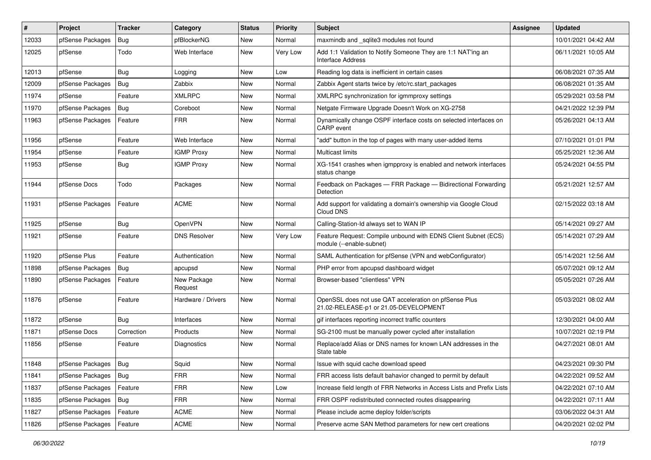| #     | Project          | <b>Tracker</b> | Category               | <b>Status</b> | <b>Priority</b> | Subject                                                                                        | <b>Assignee</b> | <b>Updated</b>      |
|-------|------------------|----------------|------------------------|---------------|-----------------|------------------------------------------------------------------------------------------------|-----------------|---------------------|
| 12033 | pfSense Packages | Bug            | pfBlockerNG            | New           | Normal          | maxmindb and sqlite3 modules not found                                                         |                 | 10/01/2021 04:42 AM |
| 12025 | pfSense          | Todo           | Web Interface          | New           | Very Low        | Add 1:1 Validation to Notify Someone They are 1:1 NAT'ing an<br><b>Interface Address</b>       |                 | 06/11/2021 10:05 AM |
| 12013 | pfSense          | Bug            | Logging                | New           | Low             | Reading log data is inefficient in certain cases                                               |                 | 06/08/2021 07:35 AM |
| 12009 | pfSense Packages | Bug            | Zabbix                 | New           | Normal          | Zabbix Agent starts twice by /etc/rc.start packages                                            |                 | 06/08/2021 01:35 AM |
| 11974 | pfSense          | Feature        | <b>XMLRPC</b>          | New           | Normal          | XMLRPC synchronization for igmmproxy settings                                                  |                 | 05/29/2021 03:58 PM |
| 11970 | pfSense Packages | Bug            | Coreboot               | New           | Normal          | Netgate Firmware Upgrade Doesn't Work on XG-2758                                               |                 | 04/21/2022 12:39 PM |
| 11963 | pfSense Packages | Feature        | <b>FRR</b>             | New           | Normal          | Dynamically change OSPF interface costs on selected interfaces on<br>CARP event                |                 | 05/26/2021 04:13 AM |
| 11956 | pfSense          | Feature        | Web Interface          | New           | Normal          | "add" button in the top of pages with many user-added items                                    |                 | 07/10/2021 01:01 PM |
| 11954 | pfSense          | Feature        | <b>IGMP Proxy</b>      | New           | Normal          | Multicast limits                                                                               |                 | 05/25/2021 12:36 AM |
| 11953 | pfSense          | Bug            | <b>IGMP Proxy</b>      | New           | Normal          | XG-1541 crashes when igmpproxy is enabled and network interfaces<br>status change              |                 | 05/24/2021 04:55 PM |
| 11944 | pfSense Docs     | Todo           | Packages               | New           | Normal          | Feedback on Packages - FRR Package - Bidirectional Forwarding<br><b>Detection</b>              |                 | 05/21/2021 12:57 AM |
| 11931 | pfSense Packages | Feature        | <b>ACME</b>            | New           | Normal          | Add support for validating a domain's ownership via Google Cloud<br>Cloud DNS                  |                 | 02/15/2022 03:18 AM |
| 11925 | pfSense          | Bug            | OpenVPN                | <b>New</b>    | Normal          | Calling-Station-Id always set to WAN IP                                                        |                 | 05/14/2021 09:27 AM |
| 11921 | pfSense          | Feature        | <b>DNS Resolver</b>    | <b>New</b>    | Very Low        | Feature Request: Compile unbound with EDNS Client Subnet (ECS)<br>module (--enable-subnet)     |                 | 05/14/2021 07:29 AM |
| 11920 | pfSense Plus     | Feature        | Authentication         | New           | Normal          | SAML Authentication for pfSense (VPN and webConfigurator)                                      |                 | 05/14/2021 12:56 AM |
| 11898 | pfSense Packages | Bug            | apcupsd                | New           | Normal          | PHP error from apcupsd dashboard widget                                                        |                 | 05/07/2021 09:12 AM |
| 11890 | pfSense Packages | Feature        | New Package<br>Request | <b>New</b>    | Normal          | Browser-based "clientless" VPN                                                                 |                 | 05/05/2021 07:26 AM |
| 11876 | pfSense          | Feature        | Hardware / Drivers     | New           | Normal          | OpenSSL does not use QAT acceleration on pfSense Plus<br>21.02-RELEASE-p1 or 21.05-DEVELOPMENT |                 | 05/03/2021 08:02 AM |
| 11872 | pfSense          | Bug            | Interfaces             | <b>New</b>    | Normal          | gif interfaces reporting incorrect traffic counters                                            |                 | 12/30/2021 04:00 AM |
| 11871 | pfSense Docs     | Correction     | Products               | New           | Normal          | SG-2100 must be manually power cycled after installation                                       |                 | 10/07/2021 02:19 PM |
| 11856 | pfSense          | Feature        | <b>Diagnostics</b>     | New           | Normal          | Replace/add Alias or DNS names for known LAN addresses in the<br>State table                   |                 | 04/27/2021 08:01 AM |
| 11848 | pfSense Packages | Bug            | Squid                  | New           | Normal          | Issue with squid cache download speed                                                          |                 | 04/23/2021 09:30 PM |
| 11841 | pfSense Packages | Bug            | <b>FRR</b>             | New           | Normal          | FRR access lists default bahavior changed to permit by default                                 |                 | 04/22/2021 09:52 AM |
| 11837 | pfSense Packages | Feature        | <b>FRR</b>             | New           | Low             | Increase field length of FRR Networks in Access Lists and Prefix Lists                         |                 | 04/22/2021 07:10 AM |
| 11835 | pfSense Packages | <b>Bug</b>     | <b>FRR</b>             | New           | Normal          | FRR OSPF redistributed connected routes disappearing                                           |                 | 04/22/2021 07:11 AM |
| 11827 | pfSense Packages | Feature        | <b>ACME</b>            | New           | Normal          | Please include acme deploy folder/scripts                                                      |                 | 03/06/2022 04:31 AM |
| 11826 | pfSense Packages | Feature        | ACME                   | New           | Normal          | Preserve acme SAN Method parameters for new cert creations                                     |                 | 04/20/2021 02:02 PM |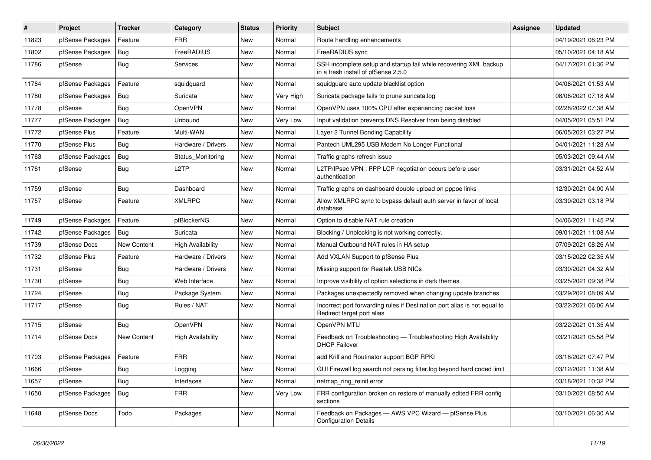| $\vert$ # | Project          | <b>Tracker</b> | Category                 | <b>Status</b> | <b>Priority</b> | <b>Subject</b>                                                                                           | <b>Assignee</b> | <b>Updated</b>      |
|-----------|------------------|----------------|--------------------------|---------------|-----------------|----------------------------------------------------------------------------------------------------------|-----------------|---------------------|
| 11823     | pfSense Packages | Feature        | <b>FRR</b>               | <b>New</b>    | Normal          | Route handling enhancements                                                                              |                 | 04/19/2021 06:23 PM |
| 11802     | pfSense Packages | Bug            | <b>FreeRADIUS</b>        | <b>New</b>    | Normal          | FreeRADIUS sync                                                                                          |                 | 05/10/2021 04:18 AM |
| 11786     | pfSense          | Bug            | Services                 | New           | Normal          | SSH incomplete setup and startup fail while recovering XML backup<br>in a fresh install of pfSense 2.5.0 |                 | 04/17/2021 01:36 PM |
| 11784     | pfSense Packages | Feature        | squidguard               | <b>New</b>    | Normal          | squidguard auto update blacklist option                                                                  |                 | 04/06/2021 01:53 AM |
| 11780     | pfSense Packages | Bug            | Suricata                 | <b>New</b>    | Very High       | Suricata package fails to prune suricata.log                                                             |                 | 08/06/2021 07:18 AM |
| 11778     | pfSense          | Bug            | OpenVPN                  | <b>New</b>    | Normal          | OpenVPN uses 100% CPU after experiencing packet loss                                                     |                 | 02/28/2022 07:38 AM |
| 11777     | pfSense Packages | Bug            | Unbound                  | <b>New</b>    | <b>Very Low</b> | Input validation prevents DNS Resolver from being disabled                                               |                 | 04/05/2021 05:51 PM |
| 11772     | pfSense Plus     | Feature        | Multi-WAN                | <b>New</b>    | Normal          | Layer 2 Tunnel Bonding Capability                                                                        |                 | 06/05/2021 03:27 PM |
| 11770     | pfSense Plus     | <b>Bug</b>     | Hardware / Drivers       | <b>New</b>    | Normal          | Pantech UML295 USB Modem No Longer Functional                                                            |                 | 04/01/2021 11:28 AM |
| 11763     | pfSense Packages | Bug            | Status Monitoring        | New           | Normal          | Traffic graphs refresh issue                                                                             |                 | 05/03/2021 09:44 AM |
| 11761     | pfSense          | Bug            | L <sub>2</sub> TP        | <b>New</b>    | Normal          | L2TP/IPsec VPN : PPP LCP negotiation occurs before user<br>authentication                                |                 | 03/31/2021 04:52 AM |
| 11759     | pfSense          | <b>Bug</b>     | Dashboard                | <b>New</b>    | Normal          | Traffic graphs on dashboard double upload on pppoe links                                                 |                 | 12/30/2021 04:00 AM |
| 11757     | pfSense          | Feature        | <b>XMLRPC</b>            | New           | Normal          | Allow XMLRPC sync to bypass default auth server in favor of local<br>database                            |                 | 03/30/2021 03:18 PM |
| 11749     | pfSense Packages | Feature        | pfBlockerNG              | <b>New</b>    | Normal          | Option to disable NAT rule creation                                                                      |                 | 04/06/2021 11:45 PM |
| 11742     | pfSense Packages | Bug            | Suricata                 | <b>New</b>    | Normal          | Blocking / Unblocking is not working correctly.                                                          |                 | 09/01/2021 11:08 AM |
| 11739     | pfSense Docs     | New Content    | <b>High Availability</b> | <b>New</b>    | Normal          | Manual Outbound NAT rules in HA setup                                                                    |                 | 07/09/2021 08:26 AM |
| 11732     | pfSense Plus     | Feature        | Hardware / Drivers       | <b>New</b>    | Normal          | Add VXLAN Support to pfSense Plus                                                                        |                 | 03/15/2022 02:35 AM |
| 11731     | pfSense          | Bug            | Hardware / Drivers       | <b>New</b>    | Normal          | Missing support for Realtek USB NICs                                                                     |                 | 03/30/2021 04:32 AM |
| 11730     | pfSense          | Bug            | Web Interface            | <b>New</b>    | Normal          | Improve visibility of option selections in dark themes                                                   |                 | 03/25/2021 09:38 PM |
| 11724     | pfSense          | Bug            | Package System           | <b>New</b>    | Normal          | Packages unexpectedly removed when changing update branches                                              |                 | 03/29/2021 08:09 AM |
| 11717     | pfSense          | Bug            | Rules / NAT              | New           | Normal          | Incorrect port forwarding rules if Destination port alias is not equal to<br>Redirect target port alias  |                 | 03/22/2021 06:06 AM |
| 11715     | pfSense          | Bug            | OpenVPN                  | <b>New</b>    | Normal          | OpenVPN MTU                                                                                              |                 | 03/22/2021 01:35 AM |
| 11714     | pfSense Docs     | New Content    | <b>High Availability</b> | <b>New</b>    | Normal          | Feedback on Troubleshooting - Troubleshooting High Availability<br><b>DHCP Failover</b>                  |                 | 03/21/2021 05:58 PM |
| 11703     | pfSense Packages | Feature        | <b>FRR</b>               | <b>New</b>    | Normal          | add Krill and Routinator support BGP RPKI                                                                |                 | 03/18/2021 07:47 PM |
| 11666     | pfSense          | Bug            | Logging                  | New           | Normal          | GUI Firewall log search not parsing filter.log beyond hard coded limit                                   |                 | 03/12/2021 11:38 AM |
| 11657     | pfSense          | Bug            | Interfaces               | New           | Normal          | netmap_ring_reinit error                                                                                 |                 | 03/18/2021 10:32 PM |
| 11650     | pfSense Packages | Bug            | <b>FRR</b>               | New           | Very Low        | FRR configuration broken on restore of manually edited FRR config<br>sections                            |                 | 03/10/2021 08:50 AM |
| 11648     | pfSense Docs     | Todo           | Packages                 | New           | Normal          | Feedback on Packages - AWS VPC Wizard - pfSense Plus<br><b>Configuration Details</b>                     |                 | 03/10/2021 06:30 AM |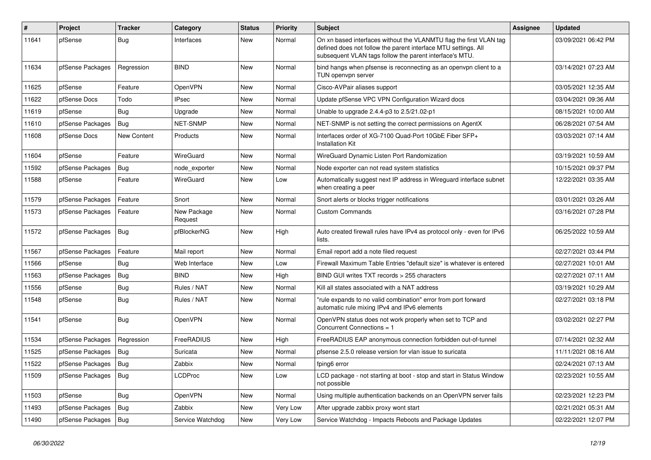| $\sharp$ | Project          | <b>Tracker</b> | Category               | <b>Status</b> | <b>Priority</b> | Subject                                                                                                                                                                                         | <b>Assignee</b> | <b>Updated</b>      |
|----------|------------------|----------------|------------------------|---------------|-----------------|-------------------------------------------------------------------------------------------------------------------------------------------------------------------------------------------------|-----------------|---------------------|
| 11641    | pfSense          | <b>Bug</b>     | Interfaces             | <b>New</b>    | Normal          | On xn based interfaces without the VLANMTU flag the first VLAN tag<br>defined does not follow the parent interface MTU settings. All<br>subsequent VLAN tags follow the parent interface's MTU. |                 | 03/09/2021 06:42 PM |
| 11634    | pfSense Packages | Regression     | <b>BIND</b>            | <b>New</b>    | Normal          | bind hangs when pfsense is reconnecting as an openvpn client to a<br>TUN openvpn server                                                                                                         |                 | 03/14/2021 07:23 AM |
| 11625    | pfSense          | Feature        | OpenVPN                | <b>New</b>    | Normal          | Cisco-AVPair aliases support                                                                                                                                                                    |                 | 03/05/2021 12:35 AM |
| 11622    | pfSense Docs     | Todo           | <b>IPsec</b>           | <b>New</b>    | Normal          | Update pfSense VPC VPN Configuration Wizard docs                                                                                                                                                |                 | 03/04/2021 09:36 AM |
| 11619    | pfSense          | Bug            | Upgrade                | <b>New</b>    | Normal          | Unable to upgrade 2.4.4-p3 to 2.5/21.02-p1                                                                                                                                                      |                 | 08/15/2021 10:00 AM |
| 11610    | pfSense Packages | Bug            | <b>NET-SNMP</b>        | <b>New</b>    | Normal          | NET-SNMP is not setting the correct permissions on AgentX                                                                                                                                       |                 | 06/28/2021 07:54 AM |
| 11608    | pfSense Docs     | New Content    | Products               | <b>New</b>    | Normal          | Interfaces order of XG-7100 Quad-Port 10GbE Fiber SFP+<br><b>Installation Kit</b>                                                                                                               |                 | 03/03/2021 07:14 AM |
| 11604    | pfSense          | Feature        | WireGuard              | <b>New</b>    | Normal          | WireGuard Dynamic Listen Port Randomization                                                                                                                                                     |                 | 03/19/2021 10:59 AM |
| 11592    | pfSense Packages | Bug            | node exporter          | <b>New</b>    | Normal          | Node exporter can not read system statistics                                                                                                                                                    |                 | 10/15/2021 09:37 PM |
| 11588    | pfSense          | Feature        | WireGuard              | <b>New</b>    | Low             | Automatically suggest next IP address in Wireguard interface subnet<br>when creating a peer                                                                                                     |                 | 12/22/2021 03:35 AM |
| 11579    | pfSense Packages | Feature        | Snort                  | <b>New</b>    | Normal          | Snort alerts or blocks trigger notifications                                                                                                                                                    |                 | 03/01/2021 03:26 AM |
| 11573    | pfSense Packages | Feature        | New Package<br>Request | New           | Normal          | <b>Custom Commands</b>                                                                                                                                                                          |                 | 03/16/2021 07:28 PM |
| 11572    | pfSense Packages | Bug            | pfBlockerNG            | New           | High            | Auto created firewall rules have IPv4 as protocol only - even for IPv6<br>lists.                                                                                                                |                 | 06/25/2022 10:59 AM |
| 11567    | pfSense Packages | Feature        | Mail report            | <b>New</b>    | Normal          | Email report add a note filed request                                                                                                                                                           |                 | 02/27/2021 03:44 PM |
| 11566    | pfSense          | <b>Bug</b>     | Web Interface          | <b>New</b>    | Low             | Firewall Maximum Table Entries "default size" is whatever is entered                                                                                                                            |                 | 02/27/2021 10:01 AM |
| 11563    | pfSense Packages | Bug            | <b>BIND</b>            | <b>New</b>    | High            | BIND GUI writes TXT records > 255 characters                                                                                                                                                    |                 | 02/27/2021 07:11 AM |
| 11556    | pfSense          | Bug            | Rules / NAT            | <b>New</b>    | Normal          | Kill all states associated with a NAT address                                                                                                                                                   |                 | 03/19/2021 10:29 AM |
| 11548    | pfSense          | <b>Bug</b>     | Rules / NAT            | <b>New</b>    | Normal          | "rule expands to no valid combination" error from port forward<br>automatic rule mixing IPv4 and IPv6 elements                                                                                  |                 | 02/27/2021 03:18 PM |
| 11541    | pfSense          | Bug            | OpenVPN                | <b>New</b>    | Normal          | OpenVPN status does not work properly when set to TCP and<br>Concurrent Connections = 1                                                                                                         |                 | 03/02/2021 02:27 PM |
| 11534    | pfSense Packages | Regression     | FreeRADIUS             | <b>New</b>    | High            | FreeRADIUS EAP anonymous connection forbidden out-of-tunnel                                                                                                                                     |                 | 07/14/2021 02:32 AM |
| 11525    | pfSense Packages | Bug            | Suricata               | <b>New</b>    | Normal          | pfsense 2.5.0 release version for vlan issue to suricata                                                                                                                                        |                 | 11/11/2021 08:16 AM |
| 11522    | pfSense Packages | Bug            | Zabbix                 | <b>New</b>    | Normal          | fping6 error                                                                                                                                                                                    |                 | 02/24/2021 07:13 AM |
| 11509    | pfSense Packages | <b>Bug</b>     | <b>LCDProc</b>         | New           | Low             | LCD package - not starting at boot - stop and start in Status Window<br>not possible                                                                                                            |                 | 02/23/2021 10:55 AM |
| 11503    | pfSense          | <b>Bug</b>     | <b>OpenVPN</b>         | New           | Normal          | Using multiple authentication backends on an OpenVPN server fails                                                                                                                               |                 | 02/23/2021 12:23 PM |
| 11493    | pfSense Packages | Bug            | Zabbix                 | New           | Very Low        | After upgrade zabbix proxy wont start                                                                                                                                                           |                 | 02/21/2021 05:31 AM |
| 11490    | pfSense Packages | <b>Bug</b>     | Service Watchdog       | New           | Very Low        | Service Watchdog - Impacts Reboots and Package Updates                                                                                                                                          |                 | 02/22/2021 12:07 PM |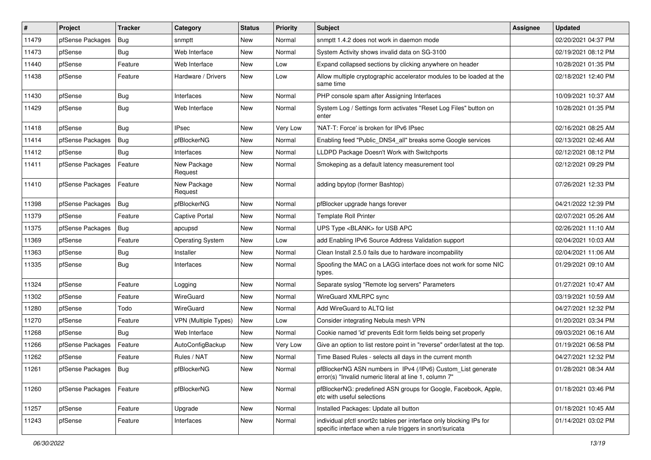| $\sharp$ | Project                | <b>Tracker</b> | Category                    | <b>Status</b> | <b>Priority</b> | Subject                                                                                                                          | <b>Assignee</b> | <b>Updated</b>      |
|----------|------------------------|----------------|-----------------------------|---------------|-----------------|----------------------------------------------------------------------------------------------------------------------------------|-----------------|---------------------|
| 11479    | pfSense Packages       | Bug            | snmptt                      | New           | Normal          | snmptt 1.4.2 does not work in daemon mode                                                                                        |                 | 02/20/2021 04:37 PM |
| 11473    | pfSense                | Bug            | Web Interface               | <b>New</b>    | Normal          | System Activity shows invalid data on SG-3100                                                                                    |                 | 02/19/2021 08:12 PM |
| 11440    | pfSense                | Feature        | Web Interface               | New           | Low             | Expand collapsed sections by clicking anywhere on header                                                                         |                 | 10/28/2021 01:35 PM |
| 11438    | pfSense                | Feature        | Hardware / Drivers          | New           | Low             | Allow multiple cryptographic accelerator modules to be loaded at the<br>same time                                                |                 | 02/18/2021 12:40 PM |
| 11430    | pfSense                | Bug            | Interfaces                  | New           | Normal          | PHP console spam after Assigning Interfaces                                                                                      |                 | 10/09/2021 10:37 AM |
| 11429    | pfSense                | Bug            | Web Interface               | New           | Normal          | System Log / Settings form activates "Reset Log Files" button on<br>enter                                                        |                 | 10/28/2021 01:35 PM |
| 11418    | pfSense                | Bug            | <b>IPsec</b>                | New           | Very Low        | 'NAT-T: Force' is broken for IPv6 IPsec                                                                                          |                 | 02/16/2021 08:25 AM |
| 11414    | pfSense Packages       | Bug            | pfBlockerNG                 | New           | Normal          | Enabling feed "Public_DNS4_all" breaks some Google services                                                                      |                 | 02/13/2021 02:46 AM |
| 11412    | pfSense                | Bug            | Interfaces                  | New           | Normal          | LLDPD Package Doesn't Work with Switchports                                                                                      |                 | 02/12/2021 08:12 PM |
| 11411    | pfSense Packages       | Feature        | New Package<br>Request      | New           | Normal          | Smokeping as a default latency measurement tool                                                                                  |                 | 02/12/2021 09:29 PM |
| 11410    | pfSense Packages       | Feature        | New Package<br>Request      | New           | Normal          | adding bpytop (former Bashtop)                                                                                                   |                 | 07/26/2021 12:33 PM |
| 11398    | pfSense Packages       | Bug            | pfBlockerNG                 | New           | Normal          | pfBlocker upgrade hangs forever                                                                                                  |                 | 04/21/2022 12:39 PM |
| 11379    | pfSense                | Feature        | Captive Portal              | New           | Normal          | <b>Template Roll Printer</b>                                                                                                     |                 | 02/07/2021 05:26 AM |
| 11375    | pfSense Packages       | Bug            | apcupsd                     | New           | Normal          | UPS Type <blank> for USB APC</blank>                                                                                             |                 | 02/26/2021 11:10 AM |
| 11369    | pfSense                | Feature        | <b>Operating System</b>     | New           | Low             | add Enabling IPv6 Source Address Validation support                                                                              |                 | 02/04/2021 10:03 AM |
| 11363    | pfSense                | Bug            | Installer                   | New           | Normal          | Clean Install 2.5.0 fails due to hardware incompability                                                                          |                 | 02/04/2021 11:06 AM |
| 11335    | pfSense                | Bug            | Interfaces                  | New           | Normal          | Spoofing the MAC on a LAGG interface does not work for some NIC<br>types.                                                        |                 | 01/29/2021 09:10 AM |
| 11324    | pfSense                | Feature        | Logging                     | New           | Normal          | Separate syslog "Remote log servers" Parameters                                                                                  |                 | 01/27/2021 10:47 AM |
| 11302    | pfSense                | Feature        | WireGuard                   | New           | Normal          | WireGuard XMLRPC sync                                                                                                            |                 | 03/19/2021 10:59 AM |
| 11280    | pfSense                | Todo           | WireGuard                   | New           | Normal          | Add WireGuard to ALTQ list                                                                                                       |                 | 04/27/2021 12:32 PM |
| 11270    | pfSense                | Feature        | <b>VPN (Multiple Types)</b> | New           | Low             | Consider integrating Nebula mesh VPN                                                                                             |                 | 01/20/2021 03:34 PM |
| 11268    | pfSense                | Bug            | Web Interface               | New           | Normal          | Cookie named 'id' prevents Edit form fields being set properly                                                                   |                 | 09/03/2021 06:16 AM |
| 11266    | pfSense Packages       | Feature        | AutoConfigBackup            | New           | Very Low        | Give an option to list restore point in "reverse" order/latest at the top.                                                       |                 | 01/19/2021 06:58 PM |
| 11262    | pfSense                | Feature        | Rules / NAT                 | New           | Normal          | Time Based Rules - selects all days in the current month                                                                         |                 | 04/27/2021 12:32 PM |
| 11261    | pfSense Packages   Bug |                | pfBlockerNG                 | New           | Normal          | pfBlockerNG ASN numbers in IPv4 (/IPv6) Custom_List generate<br>error(s) "Invalid numeric literal at line 1, column 7"           |                 | 01/28/2021 08:34 AM |
| 11260    | pfSense Packages       | Feature        | pfBlockerNG                 | New           | Normal          | pfBlockerNG: predefined ASN groups for Google, Facebook, Apple,<br>etc with useful selections                                    |                 | 01/18/2021 03:46 PM |
| 11257    | pfSense                | Feature        | Upgrade                     | New           | Normal          | Installed Packages: Update all button                                                                                            |                 | 01/18/2021 10:45 AM |
| 11243    | pfSense                | Feature        | Interfaces                  | New           | Normal          | individual pfctl snort2c tables per interface only blocking IPs for<br>specific interface when a rule triggers in snort/suricata |                 | 01/14/2021 03:02 PM |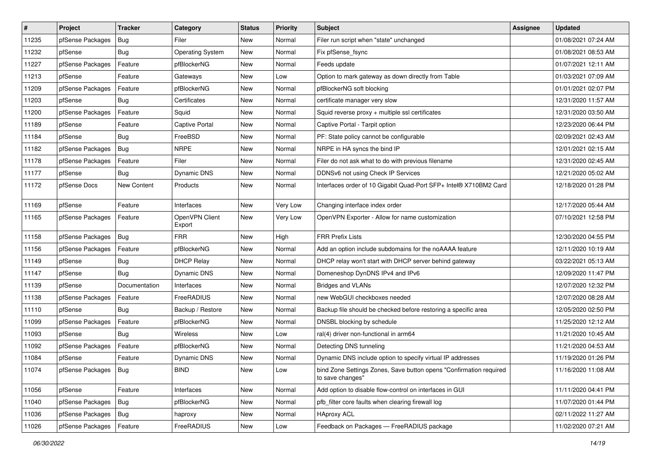| $\vert$ # | Project                | <b>Tracker</b> | Category                 | <b>Status</b> | <b>Priority</b> | <b>Subject</b>                                                                         | <b>Assignee</b> | <b>Updated</b>      |
|-----------|------------------------|----------------|--------------------------|---------------|-----------------|----------------------------------------------------------------------------------------|-----------------|---------------------|
| 11235     | pfSense Packages       | Bug            | Filer                    | New           | Normal          | Filer run script when "state" unchanged                                                |                 | 01/08/2021 07:24 AM |
| 11232     | pfSense                | Bug            | <b>Operating System</b>  | New           | Normal          | Fix pfSense_fsync                                                                      |                 | 01/08/2021 08:53 AM |
| 11227     | pfSense Packages       | Feature        | pfBlockerNG              | New           | Normal          | Feeds update                                                                           |                 | 01/07/2021 12:11 AM |
| 11213     | pfSense                | Feature        | Gateways                 | New           | Low             | Option to mark gateway as down directly from Table                                     |                 | 01/03/2021 07:09 AM |
| 11209     | pfSense Packages       | Feature        | pfBlockerNG              | New           | Normal          | pfBlockerNG soft blocking                                                              |                 | 01/01/2021 02:07 PM |
| 11203     | pfSense                | Bug            | Certificates             | New           | Normal          | certificate manager very slow                                                          |                 | 12/31/2020 11:57 AM |
| 11200     | pfSense Packages       | Feature        | Squid                    | New           | Normal          | Squid reverse proxy + multiple ssl certificates                                        |                 | 12/31/2020 03:50 AM |
| 11189     | pfSense                | Feature        | <b>Captive Portal</b>    | <b>New</b>    | Normal          | Captive Portal - Tarpit option                                                         |                 | 12/23/2020 06:44 PM |
| 11184     | pfSense                | Bug            | FreeBSD                  | New           | Normal          | PF: State policy cannot be configurable                                                |                 | 02/09/2021 02:43 AM |
| 11182     | pfSense Packages       | Bug            | <b>NRPE</b>              | <b>New</b>    | Normal          | NRPE in HA syncs the bind IP                                                           |                 | 12/01/2021 02:15 AM |
| 11178     | pfSense Packages       | Feature        | Filer                    | New           | Normal          | Filer do not ask what to do with previous filename                                     |                 | 12/31/2020 02:45 AM |
| 11177     | pfSense                | Bug            | Dynamic DNS              | New           | Normal          | DDNSv6 not using Check IP Services                                                     |                 | 12/21/2020 05:02 AM |
| 11172     | pfSense Docs           | New Content    | Products                 | New           | Normal          | Interfaces order of 10 Gigabit Quad-Port SFP+ Intel® X710BM2 Card                      |                 | 12/18/2020 01:28 PM |
| 11169     | pfSense                | Feature        | Interfaces               | New           | Very Low        | Changing interface index order                                                         |                 | 12/17/2020 05:44 AM |
| 11165     | pfSense Packages       | Feature        | OpenVPN Client<br>Export | <b>New</b>    | Very Low        | OpenVPN Exporter - Allow for name customization                                        |                 | 07/10/2021 12:58 PM |
| 11158     | pfSense Packages       | Bug            | <b>FRR</b>               | <b>New</b>    | High            | <b>FRR Prefix Lists</b>                                                                |                 | 12/30/2020 04:55 PM |
| 11156     | pfSense Packages       | Feature        | pfBlockerNG              | New           | Normal          | Add an option include subdomains for the noAAAA feature                                |                 | 12/11/2020 10:19 AM |
| 11149     | pfSense                | Bug            | <b>DHCP Relay</b>        | New           | Normal          | DHCP relay won't start with DHCP server behind gateway                                 |                 | 03/22/2021 05:13 AM |
| 11147     | pfSense                | Bug            | Dynamic DNS              | <b>New</b>    | Normal          | Domeneshop DynDNS IPv4 and IPv6                                                        |                 | 12/09/2020 11:47 PM |
| 11139     | pfSense                | Documentation  | Interfaces               | New           | Normal          | <b>Bridges and VLANs</b>                                                               |                 | 12/07/2020 12:32 PM |
| 11138     | pfSense Packages       | Feature        | <b>FreeRADIUS</b>        | New           | Normal          | new WebGUI checkboxes needed                                                           |                 | 12/07/2020 08:28 AM |
| 11110     | pfSense                | Bug            | Backup / Restore         | New           | Normal          | Backup file should be checked before restoring a specific area                         |                 | 12/05/2020 02:50 PM |
| 11099     | pfSense Packages       | Feature        | pfBlockerNG              | New           | Normal          | DNSBL blocking by schedule                                                             |                 | 11/25/2020 12:12 AM |
| 11093     | pfSense                | Bug            | Wireless                 | <b>New</b>    | Low             | ral(4) driver non-functional in arm64                                                  |                 | 11/21/2020 10:45 AM |
| 11092     | pfSense Packages       | Feature        | pfBlockerNG              | New           | Normal          | Detecting DNS tunneling                                                                |                 | 11/21/2020 04:53 AM |
| 11084     | pfSense                | Feature        | Dynamic DNS              | New           | Normal          | Dynamic DNS include option to specify virtual IP addresses                             |                 | 11/19/2020 01:26 PM |
| 11074     | pfSense Packages   Bug |                | <b>BIND</b>              | New           | Low             | bind Zone Settings Zones, Save button opens "Confirmation required<br>to save changes" |                 | 11/16/2020 11:08 AM |
| 11056     | pfSense                | Feature        | Interfaces               | New           | Normal          | Add option to disable flow-control on interfaces in GUI                                |                 | 11/11/2020 04:41 PM |
| 11040     | pfSense Packages       | Bug            | pfBlockerNG              | New           | Normal          | pfb_filter core faults when clearing firewall log                                      |                 | 11/07/2020 01:44 PM |
| 11036     | pfSense Packages       | Bug            | haproxy                  | New           | Normal          | <b>HAproxy ACL</b>                                                                     |                 | 02/11/2022 11:27 AM |
| 11026     | pfSense Packages       | Feature        | FreeRADIUS               | New           | Low             | Feedback on Packages - FreeRADIUS package                                              |                 | 11/02/2020 07:21 AM |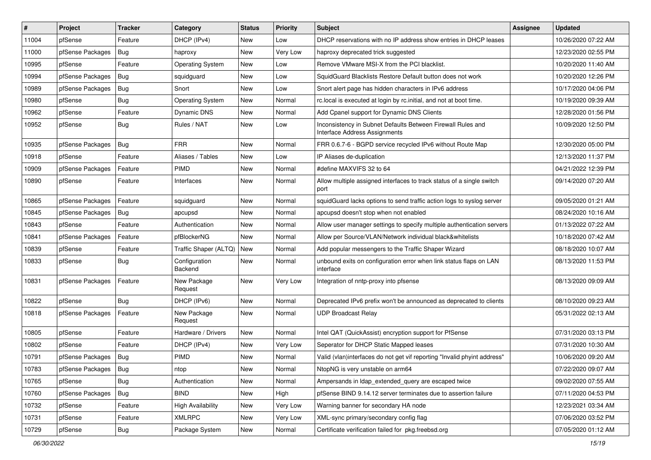| $\vert$ # | Project          | <b>Tracker</b> | Category                 | <b>Status</b> | <b>Priority</b> | <b>Subject</b>                                                                               | <b>Assignee</b> | <b>Updated</b>      |
|-----------|------------------|----------------|--------------------------|---------------|-----------------|----------------------------------------------------------------------------------------------|-----------------|---------------------|
| 11004     | pfSense          | Feature        | DHCP (IPv4)              | <b>New</b>    | Low             | DHCP reservations with no IP address show entries in DHCP leases                             |                 | 10/26/2020 07:22 AM |
| 11000     | pfSense Packages | Bug            | haproxy                  | New           | Very Low        | haproxy deprecated trick suggested                                                           |                 | 12/23/2020 02:55 PM |
| 10995     | pfSense          | Feature        | <b>Operating System</b>  | <b>New</b>    | Low             | Remove VMware MSI-X from the PCI blacklist.                                                  |                 | 10/20/2020 11:40 AM |
| 10994     | pfSense Packages | Bug            | squidguard               | New           | Low             | SquidGuard Blacklists Restore Default button does not work                                   |                 | 10/20/2020 12:26 PM |
| 10989     | pfSense Packages | Bug            | Snort                    | <b>New</b>    | Low             | Snort alert page has hidden characters in IPv6 address                                       |                 | 10/17/2020 04:06 PM |
| 10980     | pfSense          | Bug            | <b>Operating System</b>  | New           | Normal          | rc.local is executed at login by rc.initial, and not at boot time.                           |                 | 10/19/2020 09:39 AM |
| 10962     | pfSense          | Feature        | Dynamic DNS              | <b>New</b>    | Normal          | Add Cpanel support for Dynamic DNS Clients                                                   |                 | 12/28/2020 01:56 PM |
| 10952     | pfSense          | <b>Bug</b>     | Rules / NAT              | <b>New</b>    | Low             | Inconsistency in Subnet Defaults Between Firewall Rules and<br>Interface Address Assignments |                 | 10/09/2020 12:50 PM |
| 10935     | pfSense Packages | Bug            | <b>FRR</b>               | New           | Normal          | FRR 0.6.7-6 - BGPD service recycled IPv6 without Route Map                                   |                 | 12/30/2020 05:00 PM |
| 10918     | pfSense          | Feature        | Aliases / Tables         | <b>New</b>    | Low             | IP Aliases de-duplication                                                                    |                 | 12/13/2020 11:37 PM |
| 10909     | pfSense Packages | Feature        | PIMD                     | New           | Normal          | #define MAXVIFS 32 to 64                                                                     |                 | 04/21/2022 12:39 PM |
| 10890     | pfSense          | Feature        | Interfaces               | New           | Normal          | Allow multiple assigned interfaces to track status of a single switch<br>port                |                 | 09/14/2020 07:20 AM |
| 10865     | pfSense Packages | Feature        | squidguard               | <b>New</b>    | Normal          | squidGuard lacks options to send traffic action logs to syslog server                        |                 | 09/05/2020 01:21 AM |
| 10845     | pfSense Packages | <b>Bug</b>     | apcupsd                  | <b>New</b>    | Normal          | apcupsd doesn't stop when not enabled                                                        |                 | 08/24/2020 10:16 AM |
| 10843     | pfSense          | Feature        | Authentication           | New           | Normal          | Allow user manager settings to specify multiple authentication servers                       |                 | 01/13/2022 07:22 AM |
| 10841     | pfSense Packages | Feature        | pfBlockerNG              | <b>New</b>    | Normal          | Allow per Source/VLAN/Network individual black&whitelists                                    |                 | 10/18/2020 07:42 AM |
| 10839     | pfSense          | Feature        | Traffic Shaper (ALTQ)    | <b>New</b>    | Normal          | Add popular messengers to the Traffic Shaper Wizard                                          |                 | 08/18/2020 10:07 AM |
| 10833     | pfSense          | <b>Bug</b>     | Configuration<br>Backend | New           | Normal          | unbound exits on configuration error when link status flaps on LAN<br>interface              |                 | 08/13/2020 11:53 PM |
| 10831     | pfSense Packages | Feature        | New Package<br>Request   | New           | Very Low        | Integration of nntp-proxy into pfsense                                                       |                 | 08/13/2020 09:09 AM |
| 10822     | pfSense          | <b>Bug</b>     | DHCP (IPv6)              | <b>New</b>    | Normal          | Deprecated IPv6 prefix won't be announced as deprecated to clients                           |                 | 08/10/2020 09:23 AM |
| 10818     | pfSense Packages | Feature        | New Package<br>Request   | <b>New</b>    | Normal          | <b>UDP Broadcast Relay</b>                                                                   |                 | 05/31/2022 02:13 AM |
| 10805     | pfSense          | Feature        | Hardware / Drivers       | <b>New</b>    | Normal          | Intel QAT (QuickAssist) encryption support for PfSense                                       |                 | 07/31/2020 03:13 PM |
| 10802     | pfSense          | Feature        | DHCP (IPv4)              | New           | Very Low        | Seperator for DHCP Static Mapped leases                                                      |                 | 07/31/2020 10:30 AM |
| 10791     | pfSense Packages | Bug            | <b>PIMD</b>              | <b>New</b>    | Normal          | Valid (vlan)interfaces do not get vif reporting "Invalid phyint address"                     |                 | 10/06/2020 09:20 AM |
| 10783     | pfSense Packages | Bug            | ntop                     | New           | Normal          | NtopNG is very unstable on arm64                                                             |                 | 07/22/2020 09:07 AM |
| 10765     | pfSense          | <b>Bug</b>     | Authentication           | New           | Normal          | Ampersands in Idap_extended_query are escaped twice                                          |                 | 09/02/2020 07:55 AM |
| 10760     | pfSense Packages | <b>Bug</b>     | <b>BIND</b>              | New           | High            | pfSense BIND 9.14.12 server terminates due to assertion failure                              |                 | 07/11/2020 04:53 PM |
| 10732     | pfSense          | Feature        | <b>High Availability</b> | New           | Very Low        | Warning banner for secondary HA node                                                         |                 | 12/23/2021 03:34 AM |
| 10731     | pfSense          | Feature        | <b>XMLRPC</b>            | New           | Very Low        | XML-sync primary/secondary config flag                                                       |                 | 07/06/2020 03:52 PM |
| 10729     | pfSense          | Bug            | Package System           | New           | Normal          | Certificate verification failed for pkg.freebsd.org                                          |                 | 07/05/2020 01:12 AM |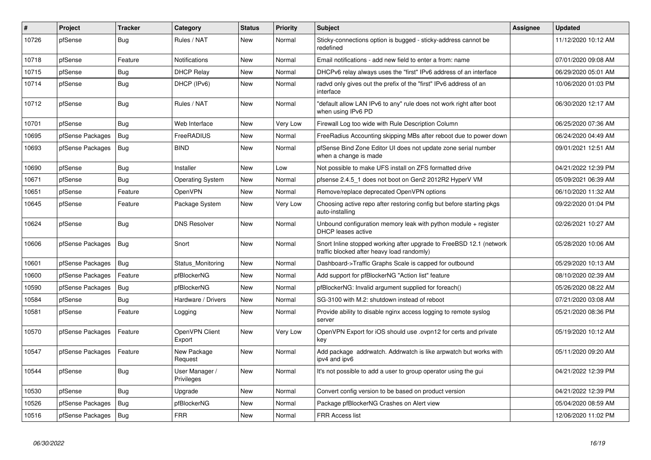| ∦     | Project          | <b>Tracker</b> | Category                     | <b>Status</b> | Priority | <b>Subject</b>                                                                                                    | <b>Assignee</b> | <b>Updated</b>      |
|-------|------------------|----------------|------------------------------|---------------|----------|-------------------------------------------------------------------------------------------------------------------|-----------------|---------------------|
| 10726 | pfSense          | Bug            | Rules / NAT                  | <b>New</b>    | Normal   | Sticky-connections option is bugged - sticky-address cannot be<br>redefined                                       |                 | 11/12/2020 10:12 AM |
| 10718 | pfSense          | Feature        | Notifications                | <b>New</b>    | Normal   | Email notifications - add new field to enter a from: name                                                         |                 | 07/01/2020 09:08 AM |
| 10715 | pfSense          | Bug            | <b>DHCP Relay</b>            | <b>New</b>    | Normal   | DHCPv6 relay always uses the "first" IPv6 address of an interface                                                 |                 | 06/29/2020 05:01 AM |
| 10714 | pfSense          | <b>Bug</b>     | DHCP (IPv6)                  | <b>New</b>    | Normal   | radvd only gives out the prefix of the "first" IPv6 address of an<br>interface                                    |                 | 10/06/2020 01:03 PM |
| 10712 | pfSense          | Bug            | Rules / NAT                  | <b>New</b>    | Normal   | "default allow LAN IPv6 to any" rule does not work right after boot<br>when using IPv6 PD                         |                 | 06/30/2020 12:17 AM |
| 10701 | pfSense          | Bug            | Web Interface                | <b>New</b>    | Very Low | Firewall Log too wide with Rule Description Column                                                                |                 | 06/25/2020 07:36 AM |
| 10695 | pfSense Packages | Bug            | FreeRADIUS                   | <b>New</b>    | Normal   | FreeRadius Accounting skipping MBs after reboot due to power down                                                 |                 | 06/24/2020 04:49 AM |
| 10693 | pfSense Packages | Bug            | <b>BIND</b>                  | <b>New</b>    | Normal   | pfSense Bind Zone Editor UI does not update zone serial number<br>when a change is made                           |                 | 09/01/2021 12:51 AM |
| 10690 | pfSense          | Bug            | Installer                    | <b>New</b>    | Low      | Not possible to make UFS install on ZFS formatted drive                                                           |                 | 04/21/2022 12:39 PM |
| 10671 | pfSense          | Bug            | <b>Operating System</b>      | New           | Normal   | pfsense 2.4.5 1 does not boot on Gen2 2012R2 HyperV VM                                                            |                 | 05/09/2021 06:39 AM |
| 10651 | pfSense          | Feature        | <b>OpenVPN</b>               | <b>New</b>    | Normal   | Remove/replace deprecated OpenVPN options                                                                         |                 | 06/10/2020 11:32 AM |
| 10645 | pfSense          | Feature        | Package System               | <b>New</b>    | Very Low | Choosing active repo after restoring config but before starting pkgs<br>auto-installing                           |                 | 09/22/2020 01:04 PM |
| 10624 | pfSense          | <b>Bug</b>     | <b>DNS Resolver</b>          | <b>New</b>    | Normal   | Unbound configuration memory leak with python module $+$ register<br>DHCP leases active                           |                 | 02/26/2021 10:27 AM |
| 10606 | pfSense Packages | Bug            | Snort                        | <b>New</b>    | Normal   | Snort Inline stopped working after upgrade to FreeBSD 12.1 (network<br>traffic blocked after heavy load randomly) |                 | 05/28/2020 10:06 AM |
| 10601 | pfSense Packages | Bug            | Status Monitoring            | <b>New</b>    | Normal   | Dashboard->Traffic Graphs Scale is capped for outbound                                                            |                 | 05/29/2020 10:13 AM |
| 10600 | pfSense Packages | Feature        | pfBlockerNG                  | <b>New</b>    | Normal   | Add support for pfBlockerNG "Action list" feature                                                                 |                 | 08/10/2020 02:39 AM |
| 10590 | pfSense Packages | Bug            | pfBlockerNG                  | <b>New</b>    | Normal   | pfBlockerNG: Invalid argument supplied for foreach()                                                              |                 | 05/26/2020 08:22 AM |
| 10584 | pfSense          | Bug            | Hardware / Drivers           | <b>New</b>    | Normal   | SG-3100 with M.2: shutdown instead of reboot                                                                      |                 | 07/21/2020 03:08 AM |
| 10581 | pfSense          | Feature        | Logging                      | <b>New</b>    | Normal   | Provide ability to disable nginx access logging to remote syslog<br>server                                        |                 | 05/21/2020 08:36 PM |
| 10570 | pfSense Packages | Feature        | OpenVPN Client<br>Export     | <b>New</b>    | Very Low | OpenVPN Export for iOS should use .ovpn12 for certs and private<br>key                                            |                 | 05/19/2020 10:12 AM |
| 10547 | pfSense Packages | Feature        | New Package<br>Request       | <b>New</b>    | Normal   | Add package addrwatch. Addrwatch is like arpwatch but works with<br>ipv4 and ipv6                                 |                 | 05/11/2020 09:20 AM |
| 10544 | pfSense          | Bug            | User Manager /<br>Privileges | <b>New</b>    | Normal   | It's not possible to add a user to group operator using the gui                                                   |                 | 04/21/2022 12:39 PM |
| 10530 | pfSense          | <b>Bug</b>     | Upgrade                      | <b>New</b>    | Normal   | Convert config version to be based on product version                                                             |                 | 04/21/2022 12:39 PM |
| 10526 | pfSense Packages | Bug            | pfBlockerNG                  | <b>New</b>    | Normal   | Package pfBlockerNG Crashes on Alert view                                                                         |                 | 05/04/2020 08:59 AM |
| 10516 | pfSense Packages | Bug            | <b>FRR</b>                   | <b>New</b>    | Normal   | <b>FRR Access list</b>                                                                                            |                 | 12/06/2020 11:02 PM |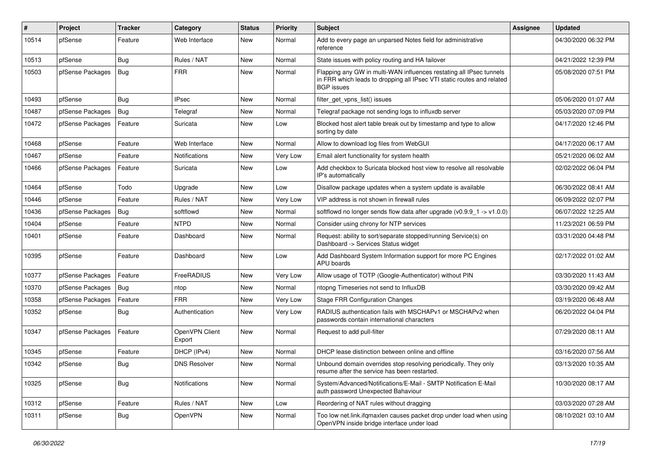| ∦     | Project          | <b>Tracker</b> | Category                 | <b>Status</b> | <b>Priority</b> | Subject                                                                                                                                                            | <b>Assignee</b> | <b>Updated</b>      |
|-------|------------------|----------------|--------------------------|---------------|-----------------|--------------------------------------------------------------------------------------------------------------------------------------------------------------------|-----------------|---------------------|
| 10514 | pfSense          | Feature        | Web Interface            | <b>New</b>    | Normal          | Add to every page an unparsed Notes field for administrative<br>reference                                                                                          |                 | 04/30/2020 06:32 PM |
| 10513 | pfSense          | Bug            | Rules / NAT              | <b>New</b>    | Normal          | State issues with policy routing and HA failover                                                                                                                   |                 | 04/21/2022 12:39 PM |
| 10503 | pfSense Packages | Bug            | <b>FRR</b>               | <b>New</b>    | Normal          | Flapping any GW in multi-WAN influences restating all IPsec tunnels<br>in FRR which leads to dropping all IPsec VTI static routes and related<br><b>BGP</b> issues |                 | 05/08/2020 07:51 PM |
| 10493 | pfSense          | Bug            | <b>IPsec</b>             | <b>New</b>    | Normal          | filter_get_vpns_list() issues                                                                                                                                      |                 | 05/06/2020 01:07 AM |
| 10487 | pfSense Packages | Bug            | Telegraf                 | <b>New</b>    | Normal          | Telegraf package not sending logs to influxdb server                                                                                                               |                 | 05/03/2020 07:09 PM |
| 10472 | pfSense Packages | Feature        | Suricata                 | <b>New</b>    | Low             | Blocked host alert table break out by timestamp and type to allow<br>sorting by date                                                                               |                 | 04/17/2020 12:46 PM |
| 10468 | pfSense          | Feature        | Web Interface            | <b>New</b>    | Normal          | Allow to download log files from WebGUI                                                                                                                            |                 | 04/17/2020 06:17 AM |
| 10467 | pfSense          | Feature        | Notifications            | <b>New</b>    | Very Low        | Email alert functionality for system health                                                                                                                        |                 | 05/21/2020 06:02 AM |
| 10466 | pfSense Packages | Feature        | Suricata                 | <b>New</b>    | Low             | Add checkbox to Suricata blocked host view to resolve all resolvable<br>IP's automatically                                                                         |                 | 02/02/2022 06:04 PM |
| 10464 | pfSense          | Todo           | Upgrade                  | <b>New</b>    | Low             | Disallow package updates when a system update is available                                                                                                         |                 | 06/30/2022 08:41 AM |
| 10446 | pfSense          | Feature        | Rules / NAT              | <b>New</b>    | <b>Very Low</b> | VIP address is not shown in firewall rules                                                                                                                         |                 | 06/09/2022 02:07 PM |
| 10436 | pfSense Packages | Bug            | softflowd                | New           | Normal          | softflowd no longer sends flow data after upgrade ( $v0.9.9$ 1 -> $v1.0.0$ )                                                                                       |                 | 06/07/2022 12:25 AM |
| 10404 | pfSense          | Feature        | <b>NTPD</b>              | <b>New</b>    | Normal          | Consider using chrony for NTP services                                                                                                                             |                 | 11/23/2021 06:59 PM |
| 10401 | pfSense          | Feature        | Dashboard                | <b>New</b>    | Normal          | Request: ability to sort/separate stopped/running Service(s) on<br>Dashboard -> Services Status widget                                                             |                 | 03/31/2020 04:48 PM |
| 10395 | pfSense          | Feature        | Dashboard                | <b>New</b>    | Low             | Add Dashboard System Information support for more PC Engines<br>APU boards                                                                                         |                 | 02/17/2022 01:02 AM |
| 10377 | pfSense Packages | Feature        | FreeRADIUS               | <b>New</b>    | Very Low        | Allow usage of TOTP (Google-Authenticator) without PIN                                                                                                             |                 | 03/30/2020 11:43 AM |
| 10370 | pfSense Packages | Bug            | ntop                     | <b>New</b>    | Normal          | ntopng Timeseries not send to InfluxDB                                                                                                                             |                 | 03/30/2020 09:42 AM |
| 10358 | pfSense Packages | Feature        | <b>FRR</b>               | <b>New</b>    | Very Low        | <b>Stage FRR Configuration Changes</b>                                                                                                                             |                 | 03/19/2020 06:48 AM |
| 10352 | pfSense          | Bug            | Authentication           | <b>New</b>    | Very Low        | RADIUS authentication fails with MSCHAPv1 or MSCHAPv2 when<br>passwords contain international characters                                                           |                 | 06/20/2022 04:04 PM |
| 10347 | pfSense Packages | Feature        | OpenVPN Client<br>Export | New           | Normal          | Request to add pull-filter                                                                                                                                         |                 | 07/29/2020 08:11 AM |
| 10345 | pfSense          | Feature        | DHCP (IPv4)              | <b>New</b>    | Normal          | DHCP lease distinction between online and offline                                                                                                                  |                 | 03/16/2020 07:56 AM |
| 10342 | pfSense          | Bug            | <b>DNS Resolver</b>      | <b>New</b>    | Normal          | Unbound domain overrides stop resolving periodically. They only<br>resume after the service has been restarted.                                                    |                 | 03/13/2020 10:35 AM |
| 10325 | pfSense          | Bug            | Notifications            | New           | Normal          | System/Advanced/Notifications/E-Mail - SMTP Notification E-Mail<br>auth password Unexpected Bahaviour                                                              |                 | 10/30/2020 08:17 AM |
| 10312 | pfSense          | Feature        | Rules / NAT              | New           | Low             | Reordering of NAT rules without dragging                                                                                                                           |                 | 03/03/2020 07:28 AM |
| 10311 | pfSense          | <b>Bug</b>     | OpenVPN                  | New           | Normal          | Too low net.link.ifgmaxlen causes packet drop under load when using<br>OpenVPN inside bridge interface under load                                                  |                 | 08/10/2021 03:10 AM |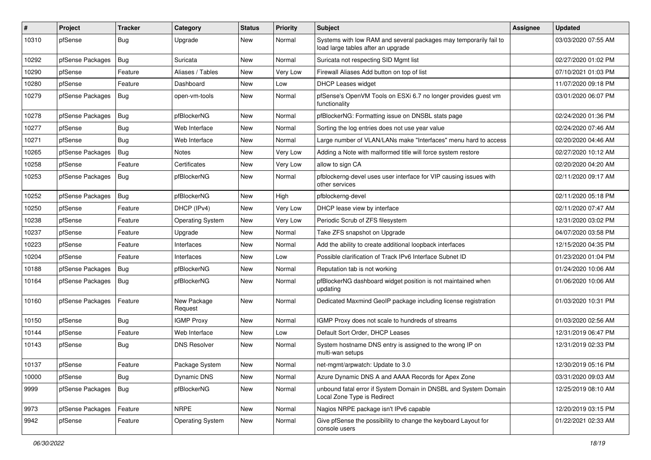| $\#$  | Project          | <b>Tracker</b> | Category                | <b>Status</b> | <b>Priority</b> | Subject                                                                                                 | <b>Assignee</b> | <b>Updated</b>      |
|-------|------------------|----------------|-------------------------|---------------|-----------------|---------------------------------------------------------------------------------------------------------|-----------------|---------------------|
| 10310 | pfSense          | <b>Bug</b>     | Upgrade                 | New           | Normal          | Systems with low RAM and several packages may temporarily fail to<br>load large tables after an upgrade |                 | 03/03/2020 07:55 AM |
| 10292 | pfSense Packages | Bug            | Suricata                | New           | Normal          | Suricata not respecting SID Mgmt list                                                                   |                 | 02/27/2020 01:02 PM |
| 10290 | pfSense          | Feature        | Aliases / Tables        | New           | Very Low        | Firewall Aliases Add button on top of list                                                              |                 | 07/10/2021 01:03 PM |
| 10280 | pfSense          | Feature        | Dashboard               | <b>New</b>    | Low             | <b>DHCP Leases widget</b>                                                                               |                 | 11/07/2020 09:18 PM |
| 10279 | pfSense Packages | Bug            | open-vm-tools           | New           | Normal          | pfSense's OpenVM Tools on ESXi 6.7 no longer provides guest vm<br>functionality                         |                 | 03/01/2020 06:07 PM |
| 10278 | pfSense Packages | Bug            | pfBlockerNG             | <b>New</b>    | Normal          | pfBlockerNG: Formatting issue on DNSBL stats page                                                       |                 | 02/24/2020 01:36 PM |
| 10277 | pfSense          | Bug            | Web Interface           | New           | Normal          | Sorting the log entries does not use year value                                                         |                 | 02/24/2020 07:46 AM |
| 10271 | pfSense          | Bug            | Web Interface           | New           | Normal          | Large number of VLAN/LANs make "Interfaces" menu hard to access                                         |                 | 02/20/2020 04:46 AM |
| 10265 | pfSense Packages | Bug            | <b>Notes</b>            | New           | Very Low        | Adding a Note with malformed title will force system restore                                            |                 | 02/27/2020 10:12 AM |
| 10258 | pfSense          | Feature        | Certificates            | New           | Very Low        | allow to sign CA                                                                                        |                 | 02/20/2020 04:20 AM |
| 10253 | pfSense Packages | Bug            | pfBlockerNG             | New           | Normal          | pfblockerng-devel uses user interface for VIP causing issues with<br>other services                     |                 | 02/11/2020 09:17 AM |
| 10252 | pfSense Packages | Bug            | pfBlockerNG             | <b>New</b>    | High            | pfblockerng-devel                                                                                       |                 | 02/11/2020 05:18 PM |
| 10250 | pfSense          | Feature        | DHCP (IPv4)             | <b>New</b>    | Very Low        | DHCP lease view by interface                                                                            |                 | 02/11/2020 07:47 AM |
| 10238 | pfSense          | Feature        | <b>Operating System</b> | New           | Very Low        | Periodic Scrub of ZFS filesystem                                                                        |                 | 12/31/2020 03:02 PM |
| 10237 | pfSense          | Feature        | Upgrade                 | <b>New</b>    | Normal          | Take ZFS snapshot on Upgrade                                                                            |                 | 04/07/2020 03:58 PM |
| 10223 | pfSense          | Feature        | Interfaces              | New           | Normal          | Add the ability to create additional loopback interfaces                                                |                 | 12/15/2020 04:35 PM |
| 10204 | pfSense          | Feature        | Interfaces              | New           | Low             | Possible clarification of Track IPv6 Interface Subnet ID                                                |                 | 01/23/2020 01:04 PM |
| 10188 | pfSense Packages | Bug            | pfBlockerNG             | New           | Normal          | Reputation tab is not working                                                                           |                 | 01/24/2020 10:06 AM |
| 10164 | pfSense Packages | Bug            | pfBlockerNG             | New           | Normal          | pfBlockerNG dashboard widget position is not maintained when<br>updating                                |                 | 01/06/2020 10:06 AM |
| 10160 | pfSense Packages | Feature        | New Package<br>Request  | New           | Normal          | Dedicated Maxmind GeoIP package including license registration                                          |                 | 01/03/2020 10:31 PM |
| 10150 | pfSense          | <b>Bug</b>     | <b>IGMP Proxy</b>       | New           | Normal          | IGMP Proxy does not scale to hundreds of streams                                                        |                 | 01/03/2020 02:56 AM |
| 10144 | pfSense          | Feature        | Web Interface           | New           | Low             | Default Sort Order, DHCP Leases                                                                         |                 | 12/31/2019 06:47 PM |
| 10143 | pfSense          | Bug            | <b>DNS Resolver</b>     | New           | Normal          | System hostname DNS entry is assigned to the wrong IP on<br>multi-wan setups                            |                 | 12/31/2019 02:33 PM |
| 10137 | pfSense          | Feature        | Package System          | New           | Normal          | net-mgmt/arpwatch: Update to 3.0                                                                        |                 | 12/30/2019 05:16 PM |
| 10000 | pfSense          | Bug            | Dynamic DNS             | New           | Normal          | Azure Dynamic DNS A and AAAA Records for Apex Zone                                                      |                 | 03/31/2020 09:03 AM |
| 9999  | pfSense Packages | Bug            | pfBlockerNG             | New           | Normal          | unbound fatal error if System Domain in DNSBL and System Domain<br>Local Zone Type is Redirect          |                 | 12/25/2019 08:10 AM |
| 9973  | pfSense Packages | Feature        | <b>NRPE</b>             | New           | Normal          | Nagios NRPE package isn't IPv6 capable                                                                  |                 | 12/20/2019 03:15 PM |
| 9942  | pfSense          | Feature        | <b>Operating System</b> | New           | Normal          | Give pfSense the possibility to change the keyboard Layout for<br>console users                         |                 | 01/22/2021 02:33 AM |